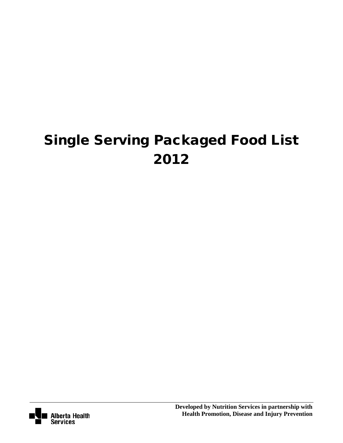# Single Serving Packaged Food List 2012

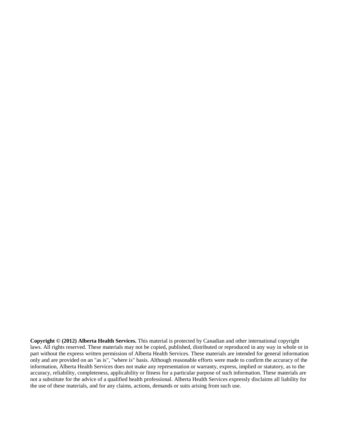**Copyright © (2012) Alberta Health Services.** This material is protected by Canadian and other international copyright laws. All rights reserved. These materials may not be copied, published, distributed or reproduced in any way in whole or in part without the express written permission of Alberta Health Services. These materials are intended for general information only and are provided on an "as is", "where is" basis. Although reasonable efforts were made to confirm the accuracy of the information, Alberta Health Services does not make any representation or warranty, express, implied or statutory, as to the accuracy, reliability, completeness, applicability or fitness for a particular purpose of such information. These materials are not a substitute for the advice of a qualified health professional. Alberta Health Services expressly disclaims all liability for the use of these materials, and for any claims, actions, demands or suits arising from such use.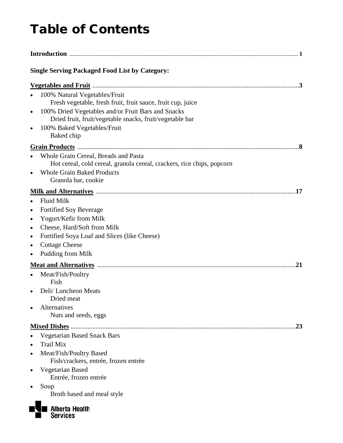## Table of Contents

| <b>Single Serving Packaged Food List by Category:</b>                                                                                                                                                                                         |
|-----------------------------------------------------------------------------------------------------------------------------------------------------------------------------------------------------------------------------------------------|
|                                                                                                                                                                                                                                               |
| 100% Natural Vegetables/Fruit<br>Fresh vegetable, fresh fruit, fruit sauce, fruit cup, juice<br>100% Dried Vegetables and/or Fruit Bars and Snacks<br>Dried fruit, fruit/vegetable snacks, fruit/vegetable bar<br>100% Baked Vegetables/Fruit |
| Baked chip                                                                                                                                                                                                                                    |
|                                                                                                                                                                                                                                               |
| Whole Grain Cereal, Breads and Pasta<br>Hot cereal, cold cereal, granola cereal, crackers, rice chips, popcorn<br><b>Whole Grain Baked Products</b><br>Granola bar, cookie                                                                    |
|                                                                                                                                                                                                                                               |
| <b>Fluid Milk</b>                                                                                                                                                                                                                             |
| Fortified Soy Beverage<br>$\bullet$                                                                                                                                                                                                           |
| Yogurt/Kefir from Milk                                                                                                                                                                                                                        |
| Cheese, Hard/Soft from Milk<br>٠                                                                                                                                                                                                              |
| Fortified Soya Loaf and Slices (like Cheese)                                                                                                                                                                                                  |
| <b>Cottage Cheese</b><br>Pudding from Milk                                                                                                                                                                                                    |
|                                                                                                                                                                                                                                               |
| 21<br>Meat/Fish/Poultry<br>Fish                                                                                                                                                                                                               |
| Deli/Luncheon Meats<br>Dried meat                                                                                                                                                                                                             |
| Alternatives<br>Nuts and seeds, eggs                                                                                                                                                                                                          |
| 23                                                                                                                                                                                                                                            |
| <b>Vegetarian Based Snack Bars</b><br><b>Trail Mix</b><br>Meat/Fish/Poultry Based                                                                                                                                                             |
| Fish/crackers, entrée, frozen entrée<br>Vegetarian Based<br>Entrée, frozen entrée                                                                                                                                                             |
| Soup<br>Broth based and meal style                                                                                                                                                                                                            |
| <b>Alberta Health</b><br><b>Services</b>                                                                                                                                                                                                      |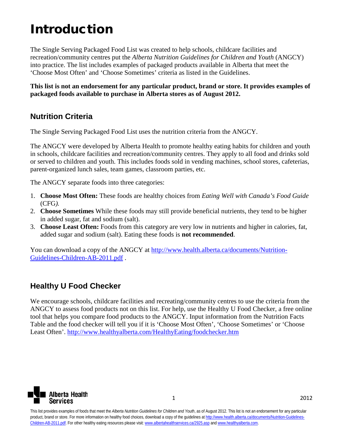## Introduction

The Single Serving Packaged Food List was created to help schools, childcare facilities and recreation/community centres put the *Alberta Nutrition Guidelines for Children and Youth* (ANGCY) into practice. The list includes examples of packaged products available in Alberta that meet the 'Choose Most Often' and 'Choose Sometimes' criteria as listed in the Guidelines.

**This list is not an endorsement for any particular product, brand or store. It provides examples of packaged foods available to purchase in Alberta stores as of August 2012.** 

#### **Nutrition Criteria**

The Single Serving Packaged Food List uses the nutrition criteria from the ANGCY.

The ANGCY were developed by Alberta Health to promote healthy eating habits for children and youth in schools, childcare facilities and recreation/community centres. They apply to all food and drinks sold or served to children and youth. This includes foods sold in vending machines, school stores, cafeterias, parent-organized lunch sales, team games, classroom parties, etc.

The ANGCY separate foods into three categories:

- 1. **Choose Most Often:** These foods are healthy choices from *Eating Well with Canada's Food Guide*  (CFG*).*
- 2. **Choose Sometimes** While these foods may still provide beneficial nutrients, they tend to be higher in added sugar, fat and sodium (salt).
- 3. **Choose Least Often:** Foods from this category are very low in nutrients and higher in calories, fat, added sugar and sodium (salt). Eating these foods is **not recommended**.

You can download a copy of the ANGCY at [http://www.health.alberta.ca/documents/Nutrition-](http://www.health.alberta.ca/documents/Nutrition-Guidelines-Children-AB-2011.pdf)[Guidelines-Children-AB-2011.pdf](http://www.health.alberta.ca/documents/Nutrition-Guidelines-Children-AB-2011.pdf) .

### **Healthy U Food Checker**

We encourage schools, childcare facilities and recreating/community centres to use the criteria from the ANGCY to assess food products not on this list. For help, use the Healthy U Food Checker, a free online tool that helps you compare food products to the ANGCY. Input information from the Nutrition Facts Table and the food checker will tell you if it is 'Choose Most Often', 'Choose Sometimes' or 'Choose Least Often'.<http://www.healthyalberta.com/HealthyEating/foodchecker.htm>

<span id="page-3-0"></span>

1 2012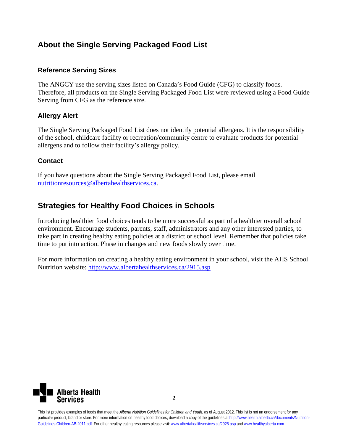### **About the Single Serving Packaged Food List**

#### **Reference Serving Sizes**

The ANGCY use the serving sizes listed on Canada's Food Guide (CFG) to classify foods. Therefore, all products on the Single Serving Packaged Food List were reviewed using a Food Guide Serving from CFG as the reference size.

#### **Allergy Alert**

The Single Serving Packaged Food List does not identify potential allergens. It is the responsibility of the school, childcare facility or recreation/community centre to evaluate products for potential allergens and to follow their facility's allergy policy.

#### **Contact**

If you have questions about the Single Serving Packaged Food List, please email [nutritionresources@albertahealthservices.ca.](mailto:nutritionresources@albertahealthservices.ca)

## **Strategies for Healthy Food Choices in Schools**

Introducing healthier food choices tends to be more successful as part of a healthier overall school environment. Encourage students, parents, staff, administrators and any other interested parties, to take part in creating healthy eating policies at a district or school level. Remember that policies take time to put into action. Phase in changes and new foods slowly over time.

For more information on creating a healthy eating environment in your school, visit the AHS School Nutrition website:<http://www.albertahealthservices.ca/2915.asp>

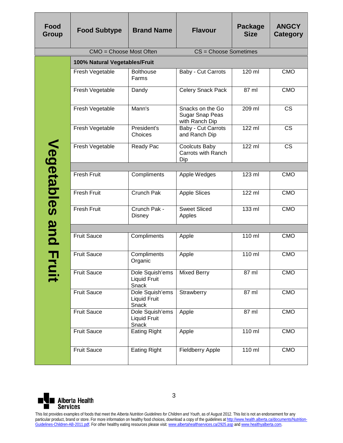| Food<br>Group | <b>Food Subtype</b>           | <b>Brand Name</b>                               | <b>Flavour</b>                                        | Package<br><b>Size</b> | <b>ANGCY</b><br>Category |
|---------------|-------------------------------|-------------------------------------------------|-------------------------------------------------------|------------------------|--------------------------|
|               | CMO = Choose Most Often       |                                                 | CS = Choose Sometimes                                 |                        |                          |
|               | 100% Natural Vegetables/Fruit |                                                 |                                                       |                        |                          |
|               | Fresh Vegetable               | <b>Bolthouse</b><br>Farms                       | Baby - Cut Carrots                                    | 120 ml                 | <b>CMO</b>               |
|               | Fresh Vegetable               | Dandy                                           | Celery Snack Pack                                     | 87 ml                  | <b>CMO</b>               |
|               | Fresh Vegetable               | Mann's                                          | Snacks on the Go<br>Sugar Snap Peas<br>with Ranch Dip | 209 ml                 | <b>CS</b>                |
|               | Fresh Vegetable               | President's<br>Choices                          | Baby - Cut Carrots<br>and Ranch Dip                   | $122$ ml               | <b>CS</b>                |
| Vegetables    | Fresh Vegetable               | Ready Pac                                       | <b>Coolcuts Baby</b><br>Carrots with Ranch<br>Dip     | 122 ml                 | <b>CS</b>                |
|               |                               |                                                 |                                                       |                        |                          |
|               | <b>Fresh Fruit</b>            | Compliments                                     | Apple Wedges                                          | 123 ml                 | <b>CMO</b>               |
|               | Fresh Fruit                   | <b>Crunch Pak</b>                               | <b>Apple Slices</b>                                   | 122 ml                 | <b>CMO</b>               |
|               | <b>Fresh Fruit</b>            | Crunch Pak -<br>Disney                          | <b>Sweet Sliced</b><br>Apples                         | $133$ ml               | <b>CMO</b>               |
|               |                               |                                                 |                                                       |                        |                          |
| and           | <b>Fruit Sauce</b>            | Compliments                                     | Apple                                                 | $110$ ml               | <b>CMO</b>               |
| T,            | <b>Fruit Sauce</b>            | Compliments<br>Organic                          | Apple                                                 | 110 ml                 | <b>CMO</b>               |
|               | <b>Fruit Sauce</b>            | Dole Squish'ems<br><b>Liquid Fruit</b><br>Snack | <b>Mixed Berry</b>                                    | $87$ ml                | CMO                      |
|               | <b>Fruit Sauce</b>            | Dole Squish'ems<br><b>Liquid Fruit</b><br>Snack | Strawberry                                            | 87 ml                  | CMO                      |
|               | <b>Fruit Sauce</b>            | Dole Squish'ems<br><b>Liquid Fruit</b><br>Snack | Apple                                                 | 87 ml                  | CMO                      |
|               | <b>Fruit Sauce</b>            | <b>Eating Right</b>                             | Apple                                                 | 110 ml                 | <b>CMO</b>               |
|               | <b>Fruit Sauce</b>            | <b>Eating Right</b>                             | <b>Fieldberry Apple</b>                               | $110$ ml               | CMO                      |

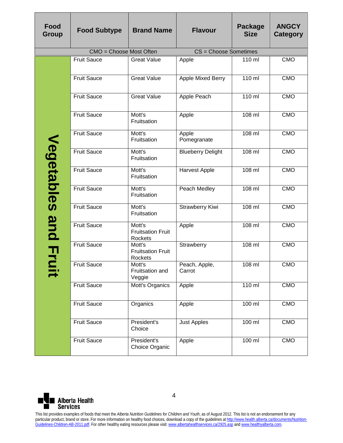| Food<br><b>Group</b>       | <b>Food Subtype</b>                                                                                                                                                                                                                                                                                                                                                                                                                                                                                   | <b>Brand Name</b>                             | <b>Flavour</b>           | <b>Package</b><br><b>Size</b> | <b>ANGCY</b><br><b>Category</b> |  |
|----------------------------|-------------------------------------------------------------------------------------------------------------------------------------------------------------------------------------------------------------------------------------------------------------------------------------------------------------------------------------------------------------------------------------------------------------------------------------------------------------------------------------------------------|-----------------------------------------------|--------------------------|-------------------------------|---------------------------------|--|
|                            | CMO = Choose Most Often                                                                                                                                                                                                                                                                                                                                                                                                                                                                               |                                               | CS = Choose Sometimes    |                               |                                 |  |
|                            | <b>Fruit Sauce</b>                                                                                                                                                                                                                                                                                                                                                                                                                                                                                    | <b>Great Value</b>                            | Apple                    | 110 ml                        | <b>CMO</b>                      |  |
|                            | <b>Fruit Sauce</b>                                                                                                                                                                                                                                                                                                                                                                                                                                                                                    | <b>Great Value</b>                            | Apple Mixed Berry        | 110 ml                        | <b>CMO</b>                      |  |
|                            | <b>Fruit Sauce</b>                                                                                                                                                                                                                                                                                                                                                                                                                                                                                    | <b>Great Value</b>                            | Apple Peach              | $110 \text{ ml}$              | CMO                             |  |
|                            | <b>Fruit Sauce</b>                                                                                                                                                                                                                                                                                                                                                                                                                                                                                    | Mott's<br>Fruitsation                         | Apple                    | $108$ ml                      | <b>CMO</b>                      |  |
|                            | <b>Fruit Sauce</b>                                                                                                                                                                                                                                                                                                                                                                                                                                                                                    | Mott's<br>Fruitsation                         | Apple<br>Pomegranate     | $108$ ml                      | CMO                             |  |
|                            | <b>Fruit Sauce</b>                                                                                                                                                                                                                                                                                                                                                                                                                                                                                    | Mott's<br>Fruitsation                         | <b>Blueberry Delight</b> | $108$ ml                      | <b>CMO</b>                      |  |
|                            | <b>Fruit Sauce</b>                                                                                                                                                                                                                                                                                                                                                                                                                                                                                    | Mott's<br>Fruitsation                         | <b>Harvest Apple</b>     | $108$ ml                      | <b>CMO</b>                      |  |
| Vegetables                 | <b>Fruit Sauce</b>                                                                                                                                                                                                                                                                                                                                                                                                                                                                                    | Mott's<br>Fruitsation                         | Peach Medley             | $108$ ml                      | <b>CMO</b>                      |  |
|                            | <b>Fruit Sauce</b>                                                                                                                                                                                                                                                                                                                                                                                                                                                                                    | Mott's<br>Fruitsation                         | Strawberry Kiwi          | $108$ ml                      | <b>CMO</b>                      |  |
|                            | <b>Fruit Sauce</b>                                                                                                                                                                                                                                                                                                                                                                                                                                                                                    | Mott's<br><b>Fruitsation Fruit</b><br>Rockets | Apple                    | 108 ml                        | <b>CMO</b>                      |  |
| and Fr                     | <b>Fruit Sauce</b>                                                                                                                                                                                                                                                                                                                                                                                                                                                                                    | Mott's<br><b>Fruitsation Fruit</b><br>Rockets | Strawberry               | $108$ ml                      | <b>CMO</b>                      |  |
|                            | <b>Fruit Sauce</b>                                                                                                                                                                                                                                                                                                                                                                                                                                                                                    | Mott's<br>Fruitsation and<br>Veggie           | Peach, Apple,<br>Carrot  | 108 ml                        | CMO                             |  |
|                            | <b>Fruit Sauce</b>                                                                                                                                                                                                                                                                                                                                                                                                                                                                                    | Mott's Organics                               | Apple                    | $110 \text{ ml}$              | <b>CMO</b>                      |  |
|                            | <b>Fruit Sauce</b>                                                                                                                                                                                                                                                                                                                                                                                                                                                                                    | Organics                                      | Apple                    | 100 ml                        | <b>CMO</b>                      |  |
|                            | <b>Fruit Sauce</b>                                                                                                                                                                                                                                                                                                                                                                                                                                                                                    | President's<br>Choice                         | <b>Just Apples</b>       | 100 ml                        | <b>CMO</b>                      |  |
|                            | <b>Fruit Sauce</b>                                                                                                                                                                                                                                                                                                                                                                                                                                                                                    | President's<br>Choice Organic                 | Apple                    | 100 ml                        | CMO                             |  |
| 4<br><b>Alberta Health</b> |                                                                                                                                                                                                                                                                                                                                                                                                                                                                                                       |                                               |                          |                               |                                 |  |
| <b>Services</b>            | This list provides examples of foods that meet the Alberta Nutrition Guidelines for Children and Youth, as of August 2012. This list is not an endorsement for any<br>particular product, brand or store. For more information on healthy food choices, download a copy of the guidelines at http://www.health.alberta.ca/documents/Nutrition-<br>Guidelines-Children-AB-2011.pdf. For other healthy eating resources please visit: www.albertahealthservices.ca/2925.asp and www.healthyalberta.com. |                                               |                          |                               |                                 |  |

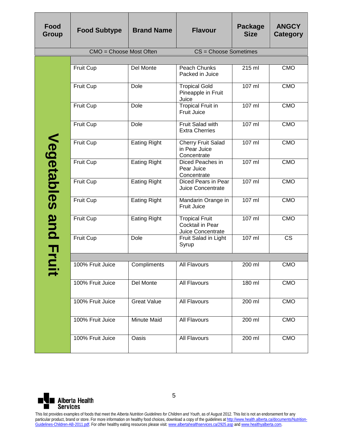| <b>Food</b><br>Group | <b>Food Subtype</b>     | <b>Brand Name</b>   | <b>Flavour</b>                                                 | Package<br><b>Size</b> | <b>ANGCY</b><br>Category |
|----------------------|-------------------------|---------------------|----------------------------------------------------------------|------------------------|--------------------------|
|                      | CMO = Choose Most Often |                     | CS = Choose Sometimes                                          |                        |                          |
|                      |                         |                     |                                                                |                        |                          |
|                      | Fruit Cup               | Del Monte           | Peach Chunks<br>Packed in Juice                                | 215 ml                 | <b>CMO</b>               |
|                      | <b>Fruit Cup</b>        | Dole                | <b>Tropical Gold</b><br>Pineapple in Fruit<br>Juice            | 107 ml                 | <b>CMO</b>               |
|                      | Fruit Cup               | Dole                | <b>Tropical Fruit in</b><br><b>Fruit Juice</b>                 | 107 ml                 | <b>CMO</b>               |
|                      | Fruit Cup               | Dole                | <b>Fruit Salad with</b><br><b>Extra Cherries</b>               | $107$ ml               | <b>CMO</b>               |
|                      | <b>Fruit Cup</b>        | <b>Eating Right</b> | <b>Cherry Fruit Salad</b><br>in Pear Juice<br>Concentrate      | 107 ml                 | <b>CMO</b>               |
| <b>Vegetables</b>    | Fruit Cup               | <b>Eating Right</b> | Diced Peaches in<br>Pear Juice<br>Concentrate                  | $107$ ml               | <b>CMO</b>               |
|                      | Fruit Cup               | <b>Eating Right</b> | Diced Pears in Pear<br><b>Juice Concentrate</b>                | $107$ ml               | <b>CMO</b>               |
|                      | Fruit Cup               | <b>Eating Right</b> | Mandarin Orange in<br><b>Fruit Juice</b>                       | 107 ml                 | <b>CMO</b>               |
| and                  | Fruit Cup               | <b>Eating Right</b> | <b>Tropical Fruit</b><br>Cocktail in Pear<br>Juice Concentrate | $107$ ml               | <b>CMO</b>               |
| 곡                    | Fruit Cup               | Dole                | Fruit Salad in Light<br>Syrup                                  | $107$ ml               | <b>CS</b>                |
|                      |                         |                     |                                                                |                        |                          |
|                      | 100% Fruit Juice        | Compliments         | All Flavours                                                   | 200 ml                 | <b>CMO</b>               |
|                      | 100% Fruit Juice        | <b>Del Monte</b>    | All Flavours                                                   | 180 ml                 | <b>CMO</b>               |
|                      | 100% Fruit Juice        | <b>Great Value</b>  | All Flavours                                                   | 200 ml                 | CMO                      |
|                      | 100% Fruit Juice        | Minute Maid         | All Flavours                                                   | 200 ml                 | CMO                      |
|                      | 100% Fruit Juice        | Oasis               | All Flavours                                                   | 200 ml                 | <b>CMO</b>               |

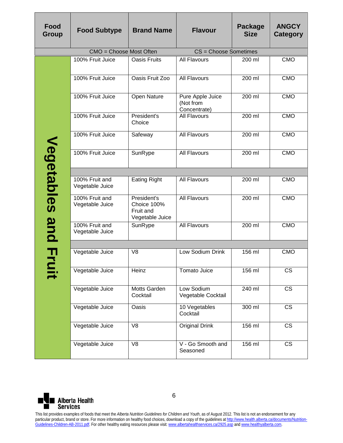| Food<br>Group | <b>Food Subtype</b>               | <b>Brand Name</b>                                          | <b>Flavour</b>                                | <b>Package</b><br><b>Size</b> | <b>ANGCY</b><br><b>Category</b> |
|---------------|-----------------------------------|------------------------------------------------------------|-----------------------------------------------|-------------------------------|---------------------------------|
|               | CMO = Choose Most Often           |                                                            | CS = Choose Sometimes                         |                               |                                 |
|               | 100% Fruit Juice                  | <b>Oasis Fruits</b>                                        | <b>All Flavours</b>                           | 200 ml                        | <b>CMO</b>                      |
|               | 100% Fruit Juice                  | Oasis Fruit Zoo                                            | All Flavours                                  | 200 ml                        | <b>CMO</b>                      |
|               | 100% Fruit Juice                  | Open Nature                                                | Pure Apple Juice<br>(Not from<br>Concentrate) | $200$ ml                      | CMO                             |
|               | 100% Fruit Juice                  | President's<br>Choice                                      | <b>All Flavours</b>                           | $200$ ml                      | <b>CMO</b>                      |
|               | 100% Fruit Juice                  | Safeway                                                    | <b>All Flavours</b>                           | 200 ml                        | <b>CMO</b>                      |
| Vegetables    | 100% Fruit Juice                  | SunRype                                                    | All Flavours                                  | 200 ml                        | <b>CMO</b>                      |
|               |                                   |                                                            |                                               |                               |                                 |
|               | 100% Fruit and<br>Vegetable Juice | <b>Eating Right</b>                                        | All Flavours                                  | 200 ml                        | <b>CMO</b>                      |
|               | 100% Fruit and<br>Vegetable Juice | President's<br>Choice 100%<br>Fruit and<br>Vegetable Juice | All Flavours                                  | 200 ml                        | <b>CMO</b>                      |
| and           | 100% Fruit and<br>Vegetable Juice | SunRype                                                    | <b>All Flavours</b>                           | 200 ml                        | <b>CMO</b>                      |
|               |                                   |                                                            |                                               |                               |                                 |
| À             | Vegetable Juice                   | V <sub>8</sub>                                             | Low Sodium Drink                              | 156 ml                        | <b>CMO</b>                      |
|               | Vegetable Juice                   | Heinz                                                      | Tomato Juice                                  | 156 ml                        | $\overline{\text{CS}}$          |
|               | Vegetable Juice                   | Motts Garden<br>Cocktail                                   | Low Sodium<br>Vegetable Cocktail              | 240 ml                        | $\overline{\text{CS}}$          |
|               | Vegetable Juice                   | Oasis                                                      | 10 Vegetables<br>Cocktail                     | 300 ml                        | $\overline{\text{CS}}$          |
|               | Vegetable Juice                   | V <sub>8</sub>                                             | <b>Original Drink</b>                         | 156 ml                        | CS                              |
|               | Vegetable Juice                   | $\overline{\vee}$                                          | V - Go Smooth and<br>Seasoned                 | 156 ml                        | $\overline{\text{cs}}$          |

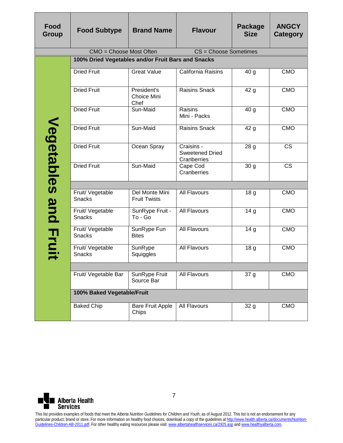| Food<br>Group | <b>Food Subtype</b>                                | <b>Brand Name</b>                     | <b>Flavour</b>                                      | Package<br><b>Size</b> | <b>ANGCY</b><br>Category |
|---------------|----------------------------------------------------|---------------------------------------|-----------------------------------------------------|------------------------|--------------------------|
|               | CMO = Choose Most Often                            |                                       | CS = Choose Sometimes                               |                        |                          |
|               | 100% Dried Vegetables and/or Fruit Bars and Snacks |                                       |                                                     |                        |                          |
|               | <b>Dried Fruit</b>                                 | <b>Great Value</b>                    | California Raisins                                  | 40 <sub>g</sub>        | <b>CMO</b>               |
|               | <b>Dried Fruit</b>                                 | President's<br>Choice Mini<br>Chef    | <b>Raisins Snack</b>                                | 42 g                   | <b>CMO</b>               |
|               | <b>Dried Fruit</b>                                 | Sun-Maid                              | Raisins<br>Mini - Packs                             | 40 g                   | <b>CMO</b>               |
|               | <b>Dried Fruit</b>                                 | Sun-Maid                              | <b>Raisins Snack</b>                                | 42 g                   | <b>CMO</b>               |
| Vegetables    | <b>Dried Fruit</b>                                 | Ocean Spray                           | Craisins -<br><b>Sweetened Dried</b><br>Cranberries | 28 <sub>g</sub>        | <b>CS</b>                |
|               | <b>Dried Fruit</b>                                 | Sun-Maid                              | Cape Cod<br>Cranberries                             | 30 <sub>g</sub>        | $\overline{\text{CS}}$   |
|               |                                                    |                                       |                                                     |                        |                          |
|               | Fruit/ Vegetable<br><b>Snacks</b>                  | Del Monte Mini<br><b>Fruit Twists</b> | <b>All Flavours</b>                                 | 18 g                   | <b>CMO</b>               |
| and           | Fruit/ Vegetable<br>Snacks                         | SunRype Fruit -<br>To - Go            | <b>All Flavours</b>                                 | 14 <sub>g</sub>        | <b>CMO</b>               |
| <b>Frui</b>   | Fruit/ Vegetable<br><b>Snacks</b>                  | SunRype Fun<br><b>Bites</b>           | <b>All Flavours</b>                                 | 14 <sub>g</sub>        | <b>CMO</b>               |
|               | Fruit/ Vegetable<br><b>Snacks</b>                  | SunRype<br>Squiggles                  | <b>All Flavours</b>                                 | 18 <sub>g</sub>        | <b>CMO</b>               |
|               |                                                    |                                       |                                                     |                        |                          |
|               | Fruit/ Vegetable Bar                               | SunRype Fruit<br>Source Bar           | All Flavours                                        | 37 g                   | <b>CMO</b>               |
|               | 100% Baked Vegetable/Fruit                         |                                       |                                                     |                        |                          |
|               | <b>Baked Chip</b>                                  | <b>Bare Fruit Apple</b><br>Chips      | All Flavours                                        | 32 g                   | <b>CMO</b>               |

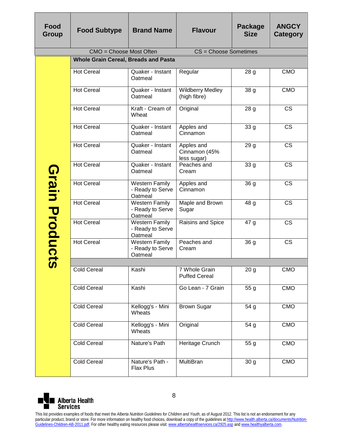| Food<br>Group                                                                                                                                                                                                                                                                                                                                                                                   | <b>Food Subtype</b>     | <b>Brand Name</b>                                    | <b>Flavour</b>                             | Package<br><b>Size</b> | <b>ANGCY</b><br>Category |  |  |  |
|-------------------------------------------------------------------------------------------------------------------------------------------------------------------------------------------------------------------------------------------------------------------------------------------------------------------------------------------------------------------------------------------------|-------------------------|------------------------------------------------------|--------------------------------------------|------------------------|--------------------------|--|--|--|
|                                                                                                                                                                                                                                                                                                                                                                                                 | CMO = Choose Most Often |                                                      | CS = Choose Sometimes                      |                        |                          |  |  |  |
|                                                                                                                                                                                                                                                                                                                                                                                                 |                         | <b>Whole Grain Cereal, Breads and Pasta</b>          |                                            |                        |                          |  |  |  |
|                                                                                                                                                                                                                                                                                                                                                                                                 | <b>Hot Cereal</b>       | Quaker - Instant<br>Oatmeal                          | Regular                                    | 28 <sub>g</sub>        | <b>CMO</b>               |  |  |  |
|                                                                                                                                                                                                                                                                                                                                                                                                 | <b>Hot Cereal</b>       | Quaker - Instant<br>Oatmeal                          | <b>Wildberry Medley</b><br>(high fibre)    | 38 <sub>g</sub>        | <b>CMO</b>               |  |  |  |
|                                                                                                                                                                                                                                                                                                                                                                                                 | <b>Hot Cereal</b>       | Kraft - Cream of<br>Wheat                            | Original                                   | 28 <sub>g</sub>        | <b>CS</b>                |  |  |  |
|                                                                                                                                                                                                                                                                                                                                                                                                 | <b>Hot Cereal</b>       | Quaker - Instant<br>Oatmeal                          | Apples and<br>Cinnamon                     | 33 g                   | <b>CS</b>                |  |  |  |
|                                                                                                                                                                                                                                                                                                                                                                                                 | <b>Hot Cereal</b>       | Quaker - Instant<br>Oatmeal                          | Apples and<br>Cinnamon (45%<br>less sugar) | 29 <sub>g</sub>        | <b>CS</b>                |  |  |  |
| <b>Grain Product</b>                                                                                                                                                                                                                                                                                                                                                                            | <b>Hot Cereal</b>       | Quaker - Instant<br>Oatmeal                          | Peaches and<br>Cream                       | 33 g                   | <b>CS</b>                |  |  |  |
|                                                                                                                                                                                                                                                                                                                                                                                                 | <b>Hot Cereal</b>       | <b>Western Family</b><br>- Ready to Serve<br>Oatmeal | Apples and<br>Cinnamon                     | 36 <sub>g</sub>        | <b>CS</b>                |  |  |  |
|                                                                                                                                                                                                                                                                                                                                                                                                 | <b>Hot Cereal</b>       | <b>Western Family</b><br>- Ready to Serve<br>Oatmeal | Maple and Brown<br>Sugar                   | 48g                    | <b>CS</b>                |  |  |  |
|                                                                                                                                                                                                                                                                                                                                                                                                 | <b>Hot Cereal</b>       | <b>Western Family</b><br>- Ready to Serve<br>Oatmeal | Raisins and Spice                          | 47 <sub>g</sub>        | <b>CS</b>                |  |  |  |
|                                                                                                                                                                                                                                                                                                                                                                                                 | <b>Hot Cereal</b>       | <b>Western Family</b><br>- Ready to Serve<br>Oatmeal | Peaches and<br>Cream                       | 36g                    | <b>CS</b>                |  |  |  |
| M                                                                                                                                                                                                                                                                                                                                                                                               |                         |                                                      |                                            |                        |                          |  |  |  |
|                                                                                                                                                                                                                                                                                                                                                                                                 | <b>Cold Cereal</b>      | Kashi                                                | 7 Whole Grain<br><b>Puffed Cereal</b>      | 20 <sub>g</sub>        | <b>CMO</b>               |  |  |  |
|                                                                                                                                                                                                                                                                                                                                                                                                 | <b>Cold Cereal</b>      | Kashi                                                | Go Lean - 7 Grain                          | 55 g                   | <b>CMO</b>               |  |  |  |
|                                                                                                                                                                                                                                                                                                                                                                                                 | <b>Cold Cereal</b>      | Kellogg's - Mini<br>Wheats                           | <b>Brown Sugar</b>                         | 54 g                   | <b>CMO</b>               |  |  |  |
|                                                                                                                                                                                                                                                                                                                                                                                                 | <b>Cold Cereal</b>      | Kellogg's - Mini<br>Wheats                           | Original                                   | 54 g                   | <b>CMO</b>               |  |  |  |
|                                                                                                                                                                                                                                                                                                                                                                                                 | <b>Cold Cereal</b>      | Nature's Path                                        | Heritage Crunch                            | 55 g                   | <b>CMO</b>               |  |  |  |
|                                                                                                                                                                                                                                                                                                                                                                                                 | <b>Cold Cereal</b>      | Nature's Path -<br><b>Flax Plus</b>                  | MultiBran                                  | 30 <sub>g</sub>        | <b>CMO</b>               |  |  |  |
| 8<br><b>Alberta Health</b><br><b>Services</b><br>This list provides examples of foods that meet the Alberta Nutrition Guidelines for Children and Youth, as of August 2012. This list is not an endorsement for any<br>particular product, brand or store. For more information on healthy food choices, download a copy of the guidelines at http://www.health.alberta.ca/documents/Nutrition- |                         |                                                      |                                            |                        |                          |  |  |  |

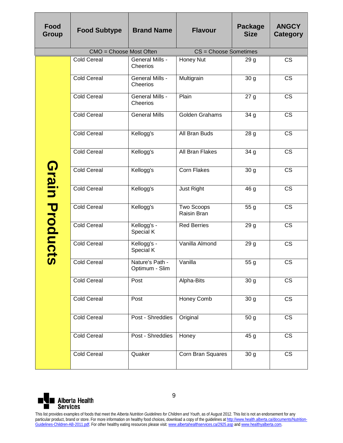| Food<br><b>Group</b>                                                                                                                                                                                                                                                                                                                                                                            | <b>Food Subtype</b>     | <b>Brand Name</b>                  | <b>Flavour</b>                   | Package<br><b>Size</b> | <b>ANGCY</b><br><b>Category</b> |
|-------------------------------------------------------------------------------------------------------------------------------------------------------------------------------------------------------------------------------------------------------------------------------------------------------------------------------------------------------------------------------------------------|-------------------------|------------------------------------|----------------------------------|------------------------|---------------------------------|
|                                                                                                                                                                                                                                                                                                                                                                                                 | CMO = Choose Most Often |                                    | CS = Choose Sometimes            |                        |                                 |
|                                                                                                                                                                                                                                                                                                                                                                                                 | <b>Cold Cereal</b>      | <b>General Mills -</b><br>Cheerios | Honey Nut                        | 29 <sub>g</sub>        | <b>CS</b>                       |
|                                                                                                                                                                                                                                                                                                                                                                                                 | <b>Cold Cereal</b>      | <b>General Mills -</b><br>Cheerios | Multigrain                       | 30 <sub>g</sub>        | <b>CS</b>                       |
|                                                                                                                                                                                                                                                                                                                                                                                                 | <b>Cold Cereal</b>      | <b>General Mills -</b><br>Cheerios | Plain                            | 27g                    | <b>CS</b>                       |
|                                                                                                                                                                                                                                                                                                                                                                                                 | <b>Cold Cereal</b>      | <b>General Mills</b>               | Golden Grahams                   | 34 g                   | $\overline{\text{CS}}$          |
|                                                                                                                                                                                                                                                                                                                                                                                                 | <b>Cold Cereal</b>      | Kellogg's                          | All Bran Buds                    | 28 <sub>g</sub>        | $\overline{\text{CS}}$          |
|                                                                                                                                                                                                                                                                                                                                                                                                 | <b>Cold Cereal</b>      | Kellogg's                          | <b>All Bran Flakes</b>           | 34g                    | $\overline{\text{CS}}$          |
| Grain                                                                                                                                                                                                                                                                                                                                                                                           | <b>Cold Cereal</b>      | Kellogg's                          | <b>Corn Flakes</b>               | 30 <sub>g</sub>        | <b>CS</b>                       |
|                                                                                                                                                                                                                                                                                                                                                                                                 | <b>Cold Cereal</b>      | Kellogg's                          | Just Right                       | 46 g                   | <b>CS</b>                       |
| Products                                                                                                                                                                                                                                                                                                                                                                                        | <b>Cold Cereal</b>      | Kellogg's                          | <b>Two Scoops</b><br>Raisin Bran | 55 g                   | <b>CS</b>                       |
|                                                                                                                                                                                                                                                                                                                                                                                                 | <b>Cold Cereal</b>      | Kellogg's -<br>Special K           | <b>Red Berries</b>               | 29 g                   | <b>CS</b>                       |
|                                                                                                                                                                                                                                                                                                                                                                                                 | <b>Cold Cereal</b>      | Kellogg's -<br>Special K           | Vanilla Almond                   | 29 <sub>g</sub>        | <b>CS</b>                       |
|                                                                                                                                                                                                                                                                                                                                                                                                 | <b>Cold Cereal</b>      | Nature's Path -<br>Optimum - Slim  | Vanilla                          | $\overline{55}$ g      | CS                              |
|                                                                                                                                                                                                                                                                                                                                                                                                 | <b>Cold Cereal</b>      | Post                               | Alpha-Bits                       | 30 <sub>g</sub>        | $\overline{\text{CS}}$          |
|                                                                                                                                                                                                                                                                                                                                                                                                 | <b>Cold Cereal</b>      | Post                               | Honey Comb                       | 30 <sub>g</sub>        | CS                              |
|                                                                                                                                                                                                                                                                                                                                                                                                 | <b>Cold Cereal</b>      | Post - Shreddies                   | Original                         | 50 <sub>g</sub>        | <b>CS</b>                       |
|                                                                                                                                                                                                                                                                                                                                                                                                 | <b>Cold Cereal</b>      | Post - Shreddies                   | Honey                            | 45 g                   | <b>CS</b>                       |
|                                                                                                                                                                                                                                                                                                                                                                                                 | <b>Cold Cereal</b>      | Quaker                             | Corn Bran Squares                | 30 <sub>g</sub>        | CS                              |
| 9<br><b>Alberta Health</b><br><b>Services</b><br>This list provides examples of foods that meet the Alberta Nutrition Guidelines for Children and Youth, as of August 2012. This list is not an endorsement for any<br>particular product, brand or store. For more information on healthy food choices, download a copy of the guidelines at http://www.health.alberta.ca/documents/Nutrition- |                         |                                    |                                  |                        |                                 |

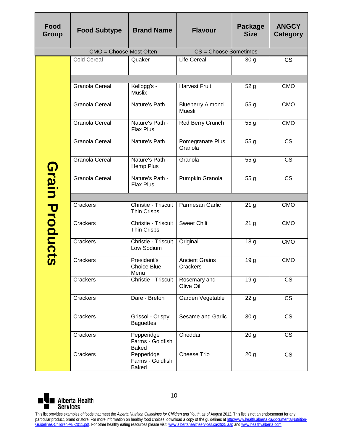| Food<br>Group   | <b>Food Subtype</b>                                                                                                                                                                                                                                                                                                                                                                                                                                                                                   | <b>Brand Name</b>                              | <b>Flavour</b>                    | <b>Package</b><br><b>Size</b> | <b>ANGCY</b><br><b>Category</b> |  |
|-----------------|-------------------------------------------------------------------------------------------------------------------------------------------------------------------------------------------------------------------------------------------------------------------------------------------------------------------------------------------------------------------------------------------------------------------------------------------------------------------------------------------------------|------------------------------------------------|-----------------------------------|-------------------------------|---------------------------------|--|
|                 | CMO = Choose Most Often                                                                                                                                                                                                                                                                                                                                                                                                                                                                               |                                                | CS = Choose Sometimes             |                               |                                 |  |
|                 | <b>Cold Cereal</b>                                                                                                                                                                                                                                                                                                                                                                                                                                                                                    | Quaker                                         | <b>Life Cereal</b>                | 30 g                          | $\overline{\text{CS}}$          |  |
|                 |                                                                                                                                                                                                                                                                                                                                                                                                                                                                                                       |                                                |                                   |                               |                                 |  |
|                 | <b>Granola Cereal</b>                                                                                                                                                                                                                                                                                                                                                                                                                                                                                 | Kellogg's -<br>Muslix                          | <b>Harvest Fruit</b>              | 52 <sub>g</sub>               | <b>CMO</b>                      |  |
|                 | <b>Granola Cereal</b>                                                                                                                                                                                                                                                                                                                                                                                                                                                                                 | Nature's Path                                  | <b>Blueberry Almond</b><br>Muesli | 55 g                          | <b>CMO</b>                      |  |
|                 | Granola Cereal                                                                                                                                                                                                                                                                                                                                                                                                                                                                                        | Nature's Path -<br><b>Flax Plus</b>            | Red Berry Crunch                  | 55 g                          | <b>CMO</b>                      |  |
|                 | Granola Cereal                                                                                                                                                                                                                                                                                                                                                                                                                                                                                        | Nature's Path                                  | Pomegranate Plus<br>Granola       | 55 g                          | <b>CS</b>                       |  |
|                 | Granola Cereal                                                                                                                                                                                                                                                                                                                                                                                                                                                                                        | Nature's Path -<br>Hemp Plus                   | Granola                           | 55 g                          | <b>CS</b>                       |  |
| Grain           | <b>Granola Cereal</b>                                                                                                                                                                                                                                                                                                                                                                                                                                                                                 | Nature's Path -<br><b>Flax Plus</b>            | Pumpkin Granola                   | 55 g                          | <b>CS</b>                       |  |
|                 |                                                                                                                                                                                                                                                                                                                                                                                                                                                                                                       |                                                |                                   |                               |                                 |  |
|                 | Crackers                                                                                                                                                                                                                                                                                                                                                                                                                                                                                              | Christie - Triscuit<br><b>Thin Crisps</b>      | Parmesan Garlic                   | 21 <sub>g</sub>               | <b>CMO</b>                      |  |
| Products        | Crackers                                                                                                                                                                                                                                                                                                                                                                                                                                                                                              | Christie - Triscuit<br><b>Thin Crisps</b>      | <b>Sweet Chili</b>                | 21 <sub>g</sub>               | <b>CMO</b>                      |  |
|                 | Crackers                                                                                                                                                                                                                                                                                                                                                                                                                                                                                              | Christie - Triscuit<br>Low Sodium              | Original                          | 18 <sub>g</sub>               | <b>CMO</b>                      |  |
|                 | Crackers                                                                                                                                                                                                                                                                                                                                                                                                                                                                                              | President's<br>Choice Blue<br>Menu             | <b>Ancient Grains</b><br>Crackers | 19 g                          | <b>CMO</b>                      |  |
|                 | Crackers                                                                                                                                                                                                                                                                                                                                                                                                                                                                                              | Christie - Triscuit                            | Rosemary and<br>Olive Oil         | 19 <sub>g</sub>               | <b>CS</b>                       |  |
|                 | Crackers                                                                                                                                                                                                                                                                                                                                                                                                                                                                                              | Dare - Breton                                  | Garden Vegetable                  | 22 <sub>g</sub>               | <b>CS</b>                       |  |
|                 | Crackers                                                                                                                                                                                                                                                                                                                                                                                                                                                                                              | Grissol - Crispy<br><b>Baguettes</b>           | Sesame and Garlic                 | 30 <sub>g</sub>               | <b>CS</b>                       |  |
|                 | Crackers                                                                                                                                                                                                                                                                                                                                                                                                                                                                                              | Pepperidge<br>Farms - Goldfish<br><b>Baked</b> | Cheddar                           | 20 <sub>g</sub>               | <b>CS</b>                       |  |
|                 | Crackers                                                                                                                                                                                                                                                                                                                                                                                                                                                                                              | Pepperidge<br>Farms - Goldfish<br><b>Baked</b> | <b>Cheese Trio</b>                | 20 <sub>g</sub>               | <b>CS</b>                       |  |
|                 |                                                                                                                                                                                                                                                                                                                                                                                                                                                                                                       |                                                |                                   |                               |                                 |  |
| <b>Services</b> | <b>Alberta Health</b>                                                                                                                                                                                                                                                                                                                                                                                                                                                                                 | 10                                             |                                   |                               |                                 |  |
|                 | This list provides examples of foods that meet the Alberta Nutrition Guidelines for Children and Youth, as of August 2012. This list is not an endorsement for any<br>particular product, brand or store. For more information on healthy food choices, download a copy of the guidelines at http://www.health.alberta.ca/documents/Nutrition-<br>Guidelines-Children-AB-2011.pdf. For other healthy eating resources please visit: www.albertahealthservices.ca/2925.asp and www.healthyalberta.com. |                                                |                                   |                               |                                 |  |

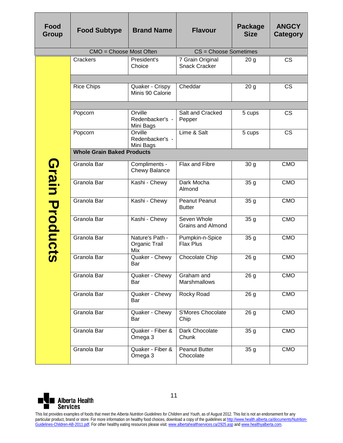| Food<br><b>Group</b> | <b>Food Subtype</b>                                                                                                                                                                                                                                                                                                                                                                                                                                                                                   | <b>Brand Name</b>                       | <b>Flavour</b>                           | Package<br><b>Size</b> | <b>ANGCY</b><br><b>Category</b> |  |  |
|----------------------|-------------------------------------------------------------------------------------------------------------------------------------------------------------------------------------------------------------------------------------------------------------------------------------------------------------------------------------------------------------------------------------------------------------------------------------------------------------------------------------------------------|-----------------------------------------|------------------------------------------|------------------------|---------------------------------|--|--|
|                      | CMO = Choose Most Often                                                                                                                                                                                                                                                                                                                                                                                                                                                                               |                                         | CS = Choose Sometimes                    |                        |                                 |  |  |
|                      | Crackers                                                                                                                                                                                                                                                                                                                                                                                                                                                                                              | President's<br>Choice                   | 7 Grain Original<br><b>Snack Cracker</b> | 20 <sub>g</sub>        | <b>CS</b>                       |  |  |
|                      | <b>Rice Chips</b>                                                                                                                                                                                                                                                                                                                                                                                                                                                                                     | Quaker - Crispy<br>Minis 90 Calorie     | Cheddar                                  | 20 <sub>g</sub>        | <b>CS</b>                       |  |  |
|                      | Popcorn                                                                                                                                                                                                                                                                                                                                                                                                                                                                                               | Orville<br>Redenbacker's -<br>Mini Bags | Salt and Cracked<br>Pepper               | 5 cups                 | <b>CS</b>                       |  |  |
|                      | Popcorn                                                                                                                                                                                                                                                                                                                                                                                                                                                                                               | Orville<br>Redenbacker's -<br>Mini Bags | Lime & Salt                              | 5 cups                 | <b>CS</b>                       |  |  |
|                      | <b>Whole Grain Baked Products</b>                                                                                                                                                                                                                                                                                                                                                                                                                                                                     |                                         |                                          |                        |                                 |  |  |
| Grain                | Granola Bar                                                                                                                                                                                                                                                                                                                                                                                                                                                                                           | Compliments -<br><b>Chewy Balance</b>   | Flax and Fibre                           | 30 <sub>g</sub>        | <b>CMO</b>                      |  |  |
|                      | Granola Bar                                                                                                                                                                                                                                                                                                                                                                                                                                                                                           | Kashi - Chewy                           | Dark Mocha<br>Almond                     | 35 <sub>g</sub>        | <b>CMO</b>                      |  |  |
| Products             | Granola Bar                                                                                                                                                                                                                                                                                                                                                                                                                                                                                           | Kashi - Chewy                           | <b>Peanut Peanut</b><br><b>Butter</b>    | 35 <sub>g</sub>        | <b>CMO</b>                      |  |  |
|                      | Granola Bar                                                                                                                                                                                                                                                                                                                                                                                                                                                                                           | Kashi - Chewy                           | Seven Whole<br><b>Grains and Almond</b>  | 35 <sub>g</sub>        | <b>CMO</b>                      |  |  |
|                      | Granola Bar                                                                                                                                                                                                                                                                                                                                                                                                                                                                                           | Nature's Path -<br>Organic Trail<br>Mix | Pumpkin-n-Spice<br><b>Flax Plus</b>      | 35 <sub>g</sub>        | <b>CMO</b>                      |  |  |
|                      | Granola Bar                                                                                                                                                                                                                                                                                                                                                                                                                                                                                           | Quaker - Chewy<br>Bar                   | Chocolate Chip                           | 26 <sub>g</sub>        | <b>CMO</b>                      |  |  |
|                      | Granola Bar                                                                                                                                                                                                                                                                                                                                                                                                                                                                                           | Quaker - Chewy<br>Bar                   | Graham and<br>Marshmallows               | 26 g                   | <b>CMO</b>                      |  |  |
|                      | Granola Bar                                                                                                                                                                                                                                                                                                                                                                                                                                                                                           | Quaker - Chewy<br>Bar                   | Rocky Road                               | 26 <sub>g</sub>        | <b>CMO</b>                      |  |  |
|                      | Granola Bar                                                                                                                                                                                                                                                                                                                                                                                                                                                                                           | Quaker - Chewy<br>Bar                   | S'Mores Chocolate<br>Chip                | 26 <sub>g</sub>        | <b>CMO</b>                      |  |  |
|                      | Granola Bar                                                                                                                                                                                                                                                                                                                                                                                                                                                                                           | Quaker - Fiber &<br>Omega 3             | Dark Chocolate<br>Chunk                  | 35 <sub>g</sub>        | <b>CMO</b>                      |  |  |
|                      | Granola Bar                                                                                                                                                                                                                                                                                                                                                                                                                                                                                           | Quaker - Fiber &<br>Omega 3             | <b>Peanut Butter</b><br>Chocolate        | 35 <sub>g</sub>        | <b>CMO</b>                      |  |  |
|                      |                                                                                                                                                                                                                                                                                                                                                                                                                                                                                                       |                                         |                                          |                        |                                 |  |  |
|                      | 11<br><b>Alberta Health</b><br>Services                                                                                                                                                                                                                                                                                                                                                                                                                                                               |                                         |                                          |                        |                                 |  |  |
|                      | This list provides examples of foods that meet the Alberta Nutrition Guidelines for Children and Youth, as of August 2012. This list is not an endorsement for any<br>particular product, brand or store. For more information on healthy food choices, download a copy of the guidelines at http://www.health.alberta.ca/documents/Nutrition-<br>Guidelines-Children-AB-2011.pdf. For other healthy eating resources please visit: www.albertahealthservices.ca/2925.asp and www.healthyalberta.com. |                                         |                                          |                        |                                 |  |  |

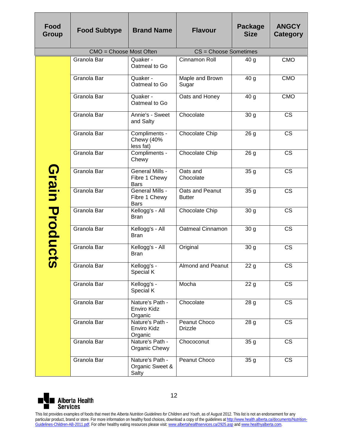| Food<br><b>Group</b>  | <b>Food Subtype</b>                                                                                                                                                                                                                                                                                                             | <b>Brand Name</b>                                      | <b>Flavour</b>                   | <b>Package</b><br><b>Size</b> | <b>ANGCY</b><br><b>Category</b> |
|-----------------------|---------------------------------------------------------------------------------------------------------------------------------------------------------------------------------------------------------------------------------------------------------------------------------------------------------------------------------|--------------------------------------------------------|----------------------------------|-------------------------------|---------------------------------|
|                       | CMO = Choose Most Often                                                                                                                                                                                                                                                                                                         |                                                        | CS = Choose Sometimes            |                               |                                 |
|                       | Granola Bar                                                                                                                                                                                                                                                                                                                     | Quaker -<br>Oatmeal to Go                              | Cinnamon Roll                    | 40 g                          | <b>CMO</b>                      |
|                       | Granola Bar                                                                                                                                                                                                                                                                                                                     | Quaker -<br>Oatmeal to Go                              | Maple and Brown<br>Sugar         | 40 g                          | <b>CMO</b>                      |
|                       | Granola Bar                                                                                                                                                                                                                                                                                                                     | Quaker -<br>Oatmeal to Go                              | Oats and Honey                   | 40g                           | <b>CMO</b>                      |
|                       | Granola Bar                                                                                                                                                                                                                                                                                                                     | Annie's - Sweet<br>and Salty                           | Chocolate                        | 30g                           | $\overline{\text{CS}}$          |
|                       | Granola Bar                                                                                                                                                                                                                                                                                                                     | Compliments -<br>Chewy (40%<br>less fat)               | Chocolate Chip                   | 26 <sub>g</sub>               | $\overline{\text{CS}}$          |
|                       | Granola Bar                                                                                                                                                                                                                                                                                                                     | Compliments -<br>Chewy                                 | Chocolate Chip                   | 26 <sub>g</sub>               | <b>CS</b>                       |
| Grain                 | Granola Bar                                                                                                                                                                                                                                                                                                                     | <b>General Mills -</b><br>Fibre 1 Chewy<br><b>Bars</b> | Oats and<br>Chocolate            | 35 <sub>g</sub>               | <b>CS</b>                       |
|                       | Granola Bar                                                                                                                                                                                                                                                                                                                     | General Mills -<br>Fibre 1 Chewy<br><b>Bars</b>        | Oats and Peanut<br><b>Butter</b> | 35 <sub>g</sub>               | <b>CS</b>                       |
| Product               | Granola Bar                                                                                                                                                                                                                                                                                                                     | Kellogg's - All<br><b>Bran</b>                         | Chocolate Chip                   | 30 <sub>g</sub>               | <b>CS</b>                       |
|                       | Granola Bar                                                                                                                                                                                                                                                                                                                     | Kellogg's - All<br><b>Bran</b>                         | <b>Oatmeal Cinnamon</b>          | 30 <sub>g</sub>               | <b>CS</b>                       |
|                       | Granola Bar                                                                                                                                                                                                                                                                                                                     | Kellogg's - All<br><b>Bran</b>                         | Original                         | 30 <sub>g</sub>               | <b>CS</b>                       |
| $\boldsymbol{\omega}$ | Granola Bar                                                                                                                                                                                                                                                                                                                     | Kellogg's -<br>Special K                               | <b>Almond and Peanut</b>         | 22 <sub>g</sub>               | CS                              |
|                       | Granola Bar                                                                                                                                                                                                                                                                                                                     | Kellogg's -<br>Special K                               | Mocha                            | 22 <sub>g</sub>               | <b>CS</b>                       |
|                       | Granola Bar                                                                                                                                                                                                                                                                                                                     | Nature's Path -<br>Enviro Kidz<br>Organic              | Chocolate                        | 28 <sub>g</sub>               | <b>CS</b>                       |
|                       | Granola Bar                                                                                                                                                                                                                                                                                                                     | Nature's Path -<br>Enviro Kidz<br>Organic              | Peanut Choco<br><b>Drizzle</b>   | 28 g                          | CS                              |
|                       | Granola Bar                                                                                                                                                                                                                                                                                                                     | Nature's Path -<br>Organic Chewy                       | Chococonut                       | 35 <sub>g</sub>               | <b>CS</b>                       |
|                       | Granola Bar                                                                                                                                                                                                                                                                                                                     | Nature's Path -<br>Organic Sweet &<br>Salty            | Peanut Choco                     | 35 g                          | <b>CS</b>                       |
|                       | <b>Alberta Health</b>                                                                                                                                                                                                                                                                                                           | 12                                                     |                                  |                               |                                 |
| <b>Services</b>       | This list provides examples of foods that meet the Alberta Nutrition Guidelines for Children and Youth, as of August 2012. This list is not an endorsement for any                                                                                                                                                              |                                                        |                                  |                               |                                 |
|                       | particular product, brand or store. For more information on healthy food choices, download a copy of the guidelines at http://www.health.alberta.ca/documents/Nutrition-<br>Guidelines-Children-AB-2011.pdf. For other healthy eating resources please visit: www.albertahealthservices.ca/2925.asp and www.healthyalberta.com. |                                                        |                                  |                               |                                 |

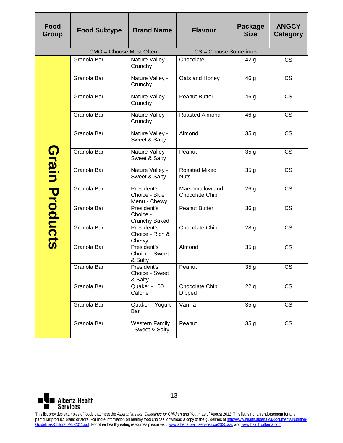| Food<br><b>Group</b> | <b>Food Subtype</b>                                                                                                                                                                                                                                                                                                                                                                                                                                                                                   | <b>Brand Name</b>                               | <b>Flavour</b>                      | Package<br><b>Size</b> | <b>ANGCY</b><br><b>Category</b> |
|----------------------|-------------------------------------------------------------------------------------------------------------------------------------------------------------------------------------------------------------------------------------------------------------------------------------------------------------------------------------------------------------------------------------------------------------------------------------------------------------------------------------------------------|-------------------------------------------------|-------------------------------------|------------------------|---------------------------------|
|                      | CMO = Choose Most Often                                                                                                                                                                                                                                                                                                                                                                                                                                                                               |                                                 | CS = Choose Sometimes               |                        |                                 |
|                      | Granola Bar                                                                                                                                                                                                                                                                                                                                                                                                                                                                                           | Nature Valley -<br>Crunchy                      | Chocolate                           | 42g                    | <b>CS</b>                       |
|                      | Granola Bar                                                                                                                                                                                                                                                                                                                                                                                                                                                                                           | Nature Valley -<br>Crunchy                      | Oats and Honey                      | 46 g                   | <b>CS</b>                       |
|                      | Granola Bar                                                                                                                                                                                                                                                                                                                                                                                                                                                                                           | Nature Valley -<br>Crunchy                      | <b>Peanut Butter</b>                | 46 g                   | <b>CS</b>                       |
|                      | Granola Bar                                                                                                                                                                                                                                                                                                                                                                                                                                                                                           | Nature Valley -<br>Crunchy                      | Roasted Almond                      | 46 g                   | $\overline{\text{CS}}$          |
|                      | Granola Bar                                                                                                                                                                                                                                                                                                                                                                                                                                                                                           | Nature Valley -<br>Sweet & Salty                | Almond                              | 35 <sub>g</sub>        | <b>CS</b>                       |
|                      | Granola Bar                                                                                                                                                                                                                                                                                                                                                                                                                                                                                           | Nature Valley -<br>Sweet & Salty                | Peanut                              | 35 <sub>g</sub>        | $\overline{\text{CS}}$          |
| Grain                | Granola Bar                                                                                                                                                                                                                                                                                                                                                                                                                                                                                           | Nature Valley -<br>Sweet & Salty                | <b>Roasted Mixed</b><br><b>Nuts</b> | 35 <sub>g</sub>        | <b>CS</b>                       |
|                      | Granola Bar                                                                                                                                                                                                                                                                                                                                                                                                                                                                                           | President's<br>Choice - Blue<br>Menu - Chewy    | Marshmallow and<br>Chocolate Chip   | 26 <sub>g</sub>        | <b>CS</b>                       |
| Products             | Granola Bar                                                                                                                                                                                                                                                                                                                                                                                                                                                                                           | President's<br>Choice -<br><b>Crunchy Baked</b> | Peanut Butter                       | 36 g                   | <b>CS</b>                       |
|                      | Granola Bar                                                                                                                                                                                                                                                                                                                                                                                                                                                                                           | President's<br>Choice - Rich &<br>Chewy         | Chocolate Chip                      | 28 <sub>g</sub>        | <b>CS</b>                       |
|                      | Granola Bar                                                                                                                                                                                                                                                                                                                                                                                                                                                                                           | President's<br>Choice - Sweet<br>& Salty        | Almond                              | 35 <sub>g</sub>        | <b>CS</b>                       |
|                      | Granola Bar                                                                                                                                                                                                                                                                                                                                                                                                                                                                                           | President's<br>Choice - Sweet<br>& Salty        | Peanut                              | 35 <sub>g</sub>        | CS                              |
|                      | Granola Bar                                                                                                                                                                                                                                                                                                                                                                                                                                                                                           | Quaker - 100<br>Calorie                         | Chocolate Chip<br>Dipped            | 22 <sub>g</sub>        | <b>CS</b>                       |
|                      | Granola Bar                                                                                                                                                                                                                                                                                                                                                                                                                                                                                           | Quaker - Yogurt<br>Bar                          | Vanilla                             | 35 <sub>g</sub>        | <b>CS</b>                       |
|                      | Granola Bar                                                                                                                                                                                                                                                                                                                                                                                                                                                                                           | <b>Western Family</b><br>- Sweet & Salty        | Peanut                              | 35 <sub>g</sub>        | <b>CS</b>                       |
|                      |                                                                                                                                                                                                                                                                                                                                                                                                                                                                                                       |                                                 |                                     |                        |                                 |
| <b>Services</b>      | <b>Alberta Health</b>                                                                                                                                                                                                                                                                                                                                                                                                                                                                                 | 13                                              |                                     |                        |                                 |
|                      | This list provides examples of foods that meet the Alberta Nutrition Guidelines for Children and Youth, as of August 2012. This list is not an endorsement for any<br>particular product, brand or store. For more information on healthy food choices, download a copy of the guidelines at http://www.health.alberta.ca/documents/Nutrition-<br>Guidelines-Children-AB-2011.pdf. For other healthy eating resources please visit: www.albertahealthservices.ca/2925.asp and www.healthyalberta.com. |                                                 |                                     |                        |                                 |

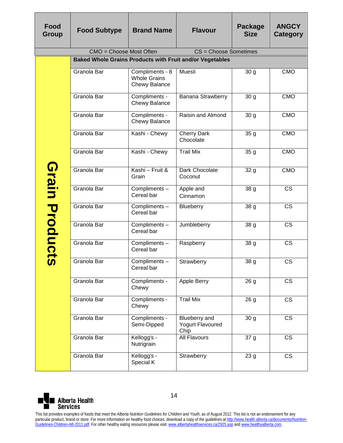| Food<br>Group                           | <b>Food Subtype</b>                                                                                                                                                                                                                                                                                                                                                                                                                                                                                   | <b>Brand Name</b>                                              | <b>Flavour</b>                                                  | Package<br><b>Size</b> | <b>ANGCY</b><br><b>Category</b> |  |  |
|-----------------------------------------|-------------------------------------------------------------------------------------------------------------------------------------------------------------------------------------------------------------------------------------------------------------------------------------------------------------------------------------------------------------------------------------------------------------------------------------------------------------------------------------------------------|----------------------------------------------------------------|-----------------------------------------------------------------|------------------------|---------------------------------|--|--|
|                                         | CMO = Choose Most Often                                                                                                                                                                                                                                                                                                                                                                                                                                                                               |                                                                | CS = Choose Sometimes                                           |                        |                                 |  |  |
|                                         |                                                                                                                                                                                                                                                                                                                                                                                                                                                                                                       |                                                                | <b>Baked Whole Grains Products with Fruit and/or Vegetables</b> |                        |                                 |  |  |
|                                         | Granola Bar                                                                                                                                                                                                                                                                                                                                                                                                                                                                                           | Compliments - 8<br><b>Whole Grains</b><br><b>Chewy Balance</b> | Muesli                                                          | 30 <sub>g</sub>        | <b>CMO</b>                      |  |  |
|                                         | Granola Bar                                                                                                                                                                                                                                                                                                                                                                                                                                                                                           | Compliments -<br><b>Chewy Balance</b>                          | Banana Strawberry                                               | 30 <sub>g</sub>        | <b>CMO</b>                      |  |  |
|                                         | Granola Bar                                                                                                                                                                                                                                                                                                                                                                                                                                                                                           | Compliments -<br>Chewy Balance                                 | Raisin and Almond                                               | 30 <sub>g</sub>        | <b>CMO</b>                      |  |  |
|                                         | Granola Bar                                                                                                                                                                                                                                                                                                                                                                                                                                                                                           | Kashi - Chewy                                                  | <b>Cherry Dark</b><br>Chocolate                                 | 35 <sub>g</sub>        | <b>CMO</b>                      |  |  |
|                                         | Granola Bar                                                                                                                                                                                                                                                                                                                                                                                                                                                                                           | Kashi - Chewy                                                  | <b>Trail Mix</b>                                                | 35g                    | <b>CMO</b>                      |  |  |
| Grain                                   | Granola Bar                                                                                                                                                                                                                                                                                                                                                                                                                                                                                           | Kashi - Fruit &<br>Grain                                       | Dark Chocolate<br>Coconut                                       | 32 g                   | <b>CMO</b>                      |  |  |
|                                         | Granola Bar                                                                                                                                                                                                                                                                                                                                                                                                                                                                                           | Compliments-<br>Cereal bar                                     | Apple and<br>Cinnamon                                           | 38 g                   | <b>CS</b>                       |  |  |
|                                         | Granola Bar                                                                                                                                                                                                                                                                                                                                                                                                                                                                                           | Compliments-<br>Cereal bar                                     | Blueberry                                                       | 38 g                   | <b>CS</b>                       |  |  |
|                                         | Granola Bar                                                                                                                                                                                                                                                                                                                                                                                                                                                                                           | Compliments-<br>Cereal bar                                     | Jumbleberry                                                     | 38 g                   | <b>CS</b>                       |  |  |
| Product                                 | Granola Bar                                                                                                                                                                                                                                                                                                                                                                                                                                                                                           | Compliments-<br>Cereal bar                                     | Raspberry                                                       | $\overline{38}$ g      | <b>CS</b>                       |  |  |
| $\boldsymbol{\omega}$                   | Granola Bar                                                                                                                                                                                                                                                                                                                                                                                                                                                                                           | Compliments -<br>Cereal bar                                    | Strawberry                                                      | 38 g                   | CS                              |  |  |
|                                         | Granola Bar                                                                                                                                                                                                                                                                                                                                                                                                                                                                                           | Compliments -<br>Chewy                                         | Apple Berry                                                     | 26 <sub>g</sub>        | <b>CS</b>                       |  |  |
|                                         | Granola Bar                                                                                                                                                                                                                                                                                                                                                                                                                                                                                           | Compliments -<br>Chewy                                         | <b>Trail Mix</b>                                                | 26 <sub>g</sub>        | <b>CS</b>                       |  |  |
|                                         | Granola Bar                                                                                                                                                                                                                                                                                                                                                                                                                                                                                           | Compliments -<br>Semi-Dipped                                   | <b>Blueberry</b> and<br><b>Yogurt Flavoured</b><br>Chip         | 30 <sub>g</sub>        | $\overline{\text{CS}}$          |  |  |
|                                         | Granola Bar                                                                                                                                                                                                                                                                                                                                                                                                                                                                                           | Kellogg's -<br>Nutrigrain                                      | All Flavours                                                    | 37 g                   | <b>CS</b>                       |  |  |
|                                         | Granola Bar                                                                                                                                                                                                                                                                                                                                                                                                                                                                                           | Kellogg's -<br>Special K                                       | Strawberry                                                      | 23 <sub>g</sub>        | <b>CS</b>                       |  |  |
| 14<br><b>Alberta Health</b><br>Services |                                                                                                                                                                                                                                                                                                                                                                                                                                                                                                       |                                                                |                                                                 |                        |                                 |  |  |
|                                         | This list provides examples of foods that meet the Alberta Nutrition Guidelines for Children and Youth, as of August 2012. This list is not an endorsement for any<br>particular product, brand or store. For more information on healthy food choices, download a copy of the guidelines at http://www.health.alberta.ca/documents/Nutrition-<br>Guidelines-Children-AB-2011.pdf. For other healthy eating resources please visit: www.albertahealthservices.ca/2925.asp and www.healthyalberta.com. |                                                                |                                                                 |                        |                                 |  |  |

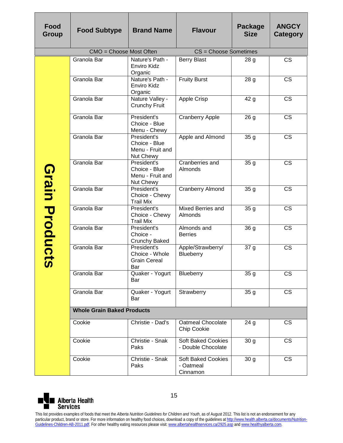| Food<br><b>Group</b>                           | <b>Food Subtype</b>                                                                                                                                                                                                                                                                                                                                                                                                                                                                                   | <b>Brand Name</b>                                             | <b>Flavour</b>                                     | Package<br><b>Size</b> | <b>ANGCY</b><br>Category |  |
|------------------------------------------------|-------------------------------------------------------------------------------------------------------------------------------------------------------------------------------------------------------------------------------------------------------------------------------------------------------------------------------------------------------------------------------------------------------------------------------------------------------------------------------------------------------|---------------------------------------------------------------|----------------------------------------------------|------------------------|--------------------------|--|
|                                                | CMO = Choose Most Often                                                                                                                                                                                                                                                                                                                                                                                                                                                                               |                                                               | CS = Choose Sometimes                              |                        |                          |  |
|                                                | Granola Bar                                                                                                                                                                                                                                                                                                                                                                                                                                                                                           | Nature's Path -<br>Enviro Kidz<br>Organic                     | <b>Berry Blast</b>                                 | 28 g                   | <b>CS</b>                |  |
|                                                | Granola Bar                                                                                                                                                                                                                                                                                                                                                                                                                                                                                           | Nature's Path -<br>Enviro Kidz<br>Organic                     | <b>Fruity Burst</b>                                | 28 g                   | <b>CS</b>                |  |
|                                                | Granola Bar                                                                                                                                                                                                                                                                                                                                                                                                                                                                                           | Nature Valley -<br><b>Crunchy Fruit</b>                       | Apple Crisp                                        | 42 <sub>g</sub>        | <b>CS</b>                |  |
|                                                | Granola Bar                                                                                                                                                                                                                                                                                                                                                                                                                                                                                           | President's<br>Choice - Blue<br>Menu - Chewy                  | <b>Cranberry Apple</b>                             | 26 <sub>g</sub>        | <b>CS</b>                |  |
|                                                | Granola Bar                                                                                                                                                                                                                                                                                                                                                                                                                                                                                           | President's<br>Choice - Blue<br>Menu - Fruit and<br>Nut Chewy | Apple and Almond                                   | 35 <sub>g</sub>        | <b>CS</b>                |  |
|                                                | Granola Bar                                                                                                                                                                                                                                                                                                                                                                                                                                                                                           | President's<br>Choice - Blue<br>Menu - Fruit and<br>Nut Chewy | Cranberries and<br>Almonds                         | 35g                    | <b>CS</b>                |  |
| <b>Grain Product</b>                           | Granola Bar                                                                                                                                                                                                                                                                                                                                                                                                                                                                                           | President's<br>Choice - Chewy<br><b>Trail Mix</b>             | <b>Cranberry Almond</b>                            | 35 <sub>g</sub>        | <b>CS</b>                |  |
|                                                | Granola Bar                                                                                                                                                                                                                                                                                                                                                                                                                                                                                           | President's<br>Choice - Chewy<br><b>Trail Mix</b>             | <b>Mixed Berries and</b><br>Almonds                | 35 <sub>g</sub>        | <b>CS</b>                |  |
|                                                | Granola Bar                                                                                                                                                                                                                                                                                                                                                                                                                                                                                           | President's<br>Choice -<br><b>Crunchy Baked</b>               | Almonds and<br><b>Berries</b>                      | 36 g                   | <b>CS</b>                |  |
| <b>in</b>                                      | Granola Bar                                                                                                                                                                                                                                                                                                                                                                                                                                                                                           | President's<br>Choice - Whole<br><b>Grain Cereal</b><br>Bar   | Apple/Strawberry/<br>Blueberry                     | 37 g                   | <b>CS</b>                |  |
|                                                | Granola Bar                                                                                                                                                                                                                                                                                                                                                                                                                                                                                           | Quaker - Yogurt<br>Bar                                        | <b>Blueberry</b>                                   | 35 <sub>g</sub>        | <b>CS</b>                |  |
|                                                | Granola Bar                                                                                                                                                                                                                                                                                                                                                                                                                                                                                           | Quaker - Yogurt<br>Bar                                        | Strawberry                                         | 35 <sub>g</sub>        | <b>CS</b>                |  |
|                                                | <b>Whole Grain Baked Products</b>                                                                                                                                                                                                                                                                                                                                                                                                                                                                     |                                                               |                                                    |                        |                          |  |
|                                                | Cookie                                                                                                                                                                                                                                                                                                                                                                                                                                                                                                | Christie - Dad's                                              | Oatmeal Chocolate<br>Chip Cookie                   | 24 g                   | <b>CS</b>                |  |
|                                                | Cookie                                                                                                                                                                                                                                                                                                                                                                                                                                                                                                | Christie - Snak<br>Paks                                       | <b>Soft Baked Cookies</b><br>- Double Chocolate    | 30 <sub>g</sub>        | <b>CS</b>                |  |
|                                                | Cookie                                                                                                                                                                                                                                                                                                                                                                                                                                                                                                | Christie - Snak<br>Paks                                       | <b>Soft Baked Cookies</b><br>- Oatmeal<br>Cinnamon | 30 <sub>g</sub>        | <b>CS</b>                |  |
| 15<br><b>Alberta Health</b><br><b>Services</b> |                                                                                                                                                                                                                                                                                                                                                                                                                                                                                                       |                                                               |                                                    |                        |                          |  |
|                                                | This list provides examples of foods that meet the Alberta Nutrition Guidelines for Children and Youth, as of August 2012. This list is not an endorsement for any<br>particular product, brand or store. For more information on healthy food choices, download a copy of the guidelines at http://www.health.alberta.ca/documents/Nutrition-<br>Guidelines-Children-AB-2011.pdf. For other healthy eating resources please visit: www.albertahealthservices.ca/2925.asp and www.healthyalberta.com. |                                                               |                                                    |                        |                          |  |

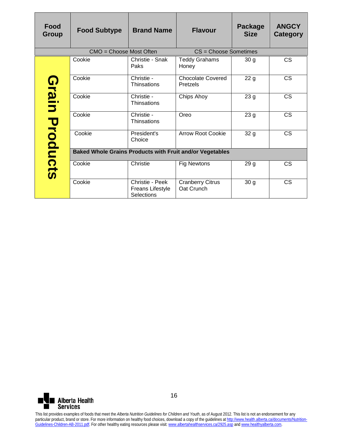| <b>Food</b><br><b>Group</b> | <b>Food Subtype</b>                                                                                                                                                                                                                                                                                                                                                                                                                                                                                   | <b>Brand Name</b>                                 | <b>Flavour</b>                        | <b>Package</b><br><b>Size</b> | <b>ANGCY</b><br><b>Category</b> |
|-----------------------------|-------------------------------------------------------------------------------------------------------------------------------------------------------------------------------------------------------------------------------------------------------------------------------------------------------------------------------------------------------------------------------------------------------------------------------------------------------------------------------------------------------|---------------------------------------------------|---------------------------------------|-------------------------------|---------------------------------|
|                             | CMO = Choose Most Often                                                                                                                                                                                                                                                                                                                                                                                                                                                                               |                                                   | CS = Choose Sometimes                 |                               |                                 |
|                             | Cookie                                                                                                                                                                                                                                                                                                                                                                                                                                                                                                | Christie - Snak<br>Paks                           | Teddy Grahams<br>Honey                | 30 <sub>g</sub>               | $\overline{\text{CS}}$          |
|                             | Cookie                                                                                                                                                                                                                                                                                                                                                                                                                                                                                                | Christie -<br>Thinsations                         | <b>Chocolate Covered</b><br>Pretzels  | 22g                           | <b>CS</b>                       |
|                             | Cookie                                                                                                                                                                                                                                                                                                                                                                                                                                                                                                | Christie -<br>Thinsations                         | <b>Chips Ahoy</b>                     | 23 <sub>g</sub>               | <b>CS</b>                       |
|                             | Cookie                                                                                                                                                                                                                                                                                                                                                                                                                                                                                                | Christie -<br>Thinsations                         | Oreo                                  | 23 g                          | $\overline{\text{CS}}$          |
|                             | Cookie                                                                                                                                                                                                                                                                                                                                                                                                                                                                                                | President's<br>Choice                             | <b>Arrow Root Cookie</b>              | 32 g                          | $\overline{\text{cs}}$          |
|                             | <b>Baked Whole Grains Products with Fruit and/or Vegetables</b>                                                                                                                                                                                                                                                                                                                                                                                                                                       |                                                   |                                       |                               |                                 |
| <b>Grain Products</b>       | Cookie                                                                                                                                                                                                                                                                                                                                                                                                                                                                                                | Christie                                          | <b>Fig Newtons</b>                    | 29 <sub>g</sub>               | <b>CS</b>                       |
|                             | Cookie                                                                                                                                                                                                                                                                                                                                                                                                                                                                                                | Christie - Peek<br>Freans Lifestyle<br>Selections | <b>Cranberry Citrus</b><br>Oat Crunch | 30 <sub>g</sub>               | <b>CS</b>                       |
|                             |                                                                                                                                                                                                                                                                                                                                                                                                                                                                                                       |                                                   |                                       |                               |                                 |
| <b>Services</b>             | <b>Alberta Health</b>                                                                                                                                                                                                                                                                                                                                                                                                                                                                                 | 16                                                |                                       |                               |                                 |
|                             | This list provides examples of foods that meet the Alberta Nutrition Guidelines for Children and Youth, as of August 2012. This list is not an endorsement for any<br>particular product, brand or store. For more information on healthy food choices, download a copy of the guidelines at http://www.health.alberta.ca/documents/Nutrition-<br>Guidelines-Children-AB-2011.pdf. For other healthy eating resources please visit: www.albertahealthservices.ca/2925.asp and www.healthyalberta.com. |                                                   |                                       |                               |                                 |

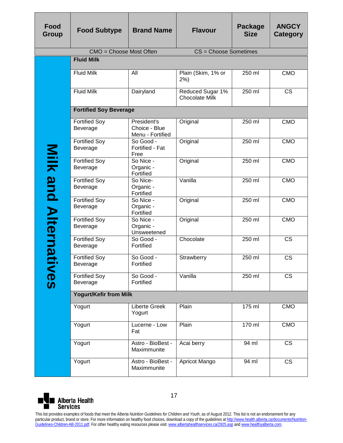| Food<br>Group                                  | <b>Food Subtype</b>                                                                                                                                                                                                                                                                                                                                                                                                                                                                                   | <b>Brand Name</b>                                | <b>Flavour</b>                            | Package<br><b>Size</b> | <b>ANGCY</b><br><b>Category</b> |  |
|------------------------------------------------|-------------------------------------------------------------------------------------------------------------------------------------------------------------------------------------------------------------------------------------------------------------------------------------------------------------------------------------------------------------------------------------------------------------------------------------------------------------------------------------------------------|--------------------------------------------------|-------------------------------------------|------------------------|---------------------------------|--|
|                                                | CMO = Choose Most Often                                                                                                                                                                                                                                                                                                                                                                                                                                                                               |                                                  | CS = Choose Sometimes                     |                        |                                 |  |
|                                                | <b>Fluid Milk</b>                                                                                                                                                                                                                                                                                                                                                                                                                                                                                     |                                                  |                                           |                        |                                 |  |
|                                                | <b>Fluid Milk</b>                                                                                                                                                                                                                                                                                                                                                                                                                                                                                     | All                                              | Plain (Skim, 1% or<br>$2\%)$              | 250 ml                 | <b>CMO</b>                      |  |
|                                                | <b>Fluid Milk</b>                                                                                                                                                                                                                                                                                                                                                                                                                                                                                     | Dairyland                                        | Reduced Sugar 1%<br><b>Chocolate Milk</b> | 250 ml                 | <b>CS</b>                       |  |
|                                                | <b>Fortified Soy Beverage</b>                                                                                                                                                                                                                                                                                                                                                                                                                                                                         |                                                  |                                           |                        |                                 |  |
|                                                | <b>Fortified Soy</b><br>Beverage                                                                                                                                                                                                                                                                                                                                                                                                                                                                      | President's<br>Choice - Blue<br>Menu - Fortified | Original                                  | 250 ml                 | <b>CMO</b>                      |  |
|                                                | <b>Fortified Soy</b><br>Beverage                                                                                                                                                                                                                                                                                                                                                                                                                                                                      | So Good -<br>Fortified - Fat<br>Free             | Original                                  | 250 ml                 | <b>CMO</b>                      |  |
|                                                | <b>Fortified Soy</b><br>Beverage                                                                                                                                                                                                                                                                                                                                                                                                                                                                      | So Nice -<br>Organic -<br>Fortified              | Original                                  | 250 ml                 | <b>CMO</b>                      |  |
|                                                | <b>Fortified Soy</b><br>Beverage                                                                                                                                                                                                                                                                                                                                                                                                                                                                      | So Nice-<br>Organic -<br>Fortified               | Vanilla                                   | 250 ml                 | <b>CMO</b>                      |  |
| Milk and Alternat                              | <b>Fortified Soy</b><br>Beverage                                                                                                                                                                                                                                                                                                                                                                                                                                                                      | So Nice -<br>Organic -<br>Fortified              | Original                                  | 250 ml                 | <b>CMO</b>                      |  |
|                                                | <b>Fortified Soy</b><br>Beverage                                                                                                                                                                                                                                                                                                                                                                                                                                                                      | So Nice -<br>Organic -<br>Unsweetened            | Original                                  | 250 ml                 | <b>CMO</b>                      |  |
|                                                | <b>Fortified Soy</b><br>Beverage                                                                                                                                                                                                                                                                                                                                                                                                                                                                      | So Good -<br>Fortified                           | Chocolate                                 | 250 ml                 | <b>CS</b>                       |  |
|                                                | <b>Fortified Soy</b><br>Beverage                                                                                                                                                                                                                                                                                                                                                                                                                                                                      | So Good -<br>Fortified                           | Strawberry                                | 250 ml                 | <b>CS</b>                       |  |
| <b>IVGS</b>                                    | <b>Fortified Soy</b><br>Beverage                                                                                                                                                                                                                                                                                                                                                                                                                                                                      | So Good -<br>Fortified                           | Vanilla                                   | 250 ml                 | <b>CS</b>                       |  |
|                                                | <b>Yogurt/Kefir from Milk</b>                                                                                                                                                                                                                                                                                                                                                                                                                                                                         |                                                  |                                           |                        |                                 |  |
|                                                | Yogurt                                                                                                                                                                                                                                                                                                                                                                                                                                                                                                | <b>Liberte Greek</b><br>Yogurt                   | Plain                                     | 175 ml                 | <b>CMO</b>                      |  |
|                                                | Yogurt                                                                                                                                                                                                                                                                                                                                                                                                                                                                                                | Lucerne - Low<br>Fat                             | Plain                                     | 170 ml                 | <b>CMO</b>                      |  |
|                                                | Yogurt                                                                                                                                                                                                                                                                                                                                                                                                                                                                                                | Astro - BioBest -<br>Maximmunite                 | Acai berry                                | 94 ml                  | <b>CS</b>                       |  |
|                                                | Yogurt                                                                                                                                                                                                                                                                                                                                                                                                                                                                                                | Astro - BioBest -<br>Maximmunite                 | Apricot Mango                             | 94 ml                  | <b>CS</b>                       |  |
| 17<br><b>Alberta Health</b><br><b>Services</b> |                                                                                                                                                                                                                                                                                                                                                                                                                                                                                                       |                                                  |                                           |                        |                                 |  |
|                                                | This list provides examples of foods that meet the Alberta Nutrition Guidelines for Children and Youth, as of August 2012. This list is not an endorsement for any<br>particular product, brand or store. For more information on healthy food choices, download a copy of the guidelines at http://www.health.alberta.ca/documents/Nutrition-<br>Guidelines-Children-AB-2011.pdf. For other healthy eating resources please visit: www.albertahealthservices.ca/2925.asp and www.healthyalberta.com. |                                                  |                                           |                        |                                 |  |

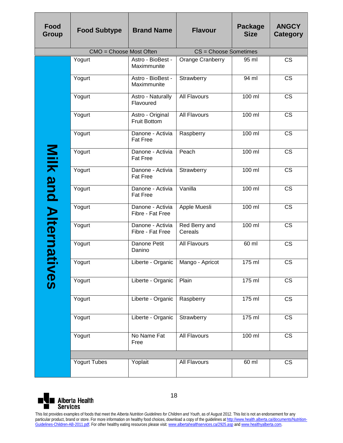| Food<br><b>Group</b> | <b>Food Subtype</b>                                                                                                                                                                                                                                                                                                                                                                                                                                                                                   | <b>Brand Name</b>                       | <b>Flavour</b>           | <b>Package</b><br><b>Size</b> | <b>ANGCY</b><br><b>Category</b> |  |  |
|----------------------|-------------------------------------------------------------------------------------------------------------------------------------------------------------------------------------------------------------------------------------------------------------------------------------------------------------------------------------------------------------------------------------------------------------------------------------------------------------------------------------------------------|-----------------------------------------|--------------------------|-------------------------------|---------------------------------|--|--|
|                      | CMO = Choose Most Often                                                                                                                                                                                                                                                                                                                                                                                                                                                                               |                                         | CS = Choose Sometimes    |                               |                                 |  |  |
|                      | Yogurt                                                                                                                                                                                                                                                                                                                                                                                                                                                                                                | Astro - BioBest -<br>Maximmunite        | Orange Cranberry         | 95 ml                         | $\overline{\text{CS}}$          |  |  |
|                      | Yogurt                                                                                                                                                                                                                                                                                                                                                                                                                                                                                                | Astro - BioBest -<br>Maximmunite        | Strawberry               | 94 ml                         | <b>CS</b>                       |  |  |
|                      | Yogurt                                                                                                                                                                                                                                                                                                                                                                                                                                                                                                | Astro - Naturally<br>Flavoured          | <b>All Flavours</b>      | 100 ml                        | <b>CS</b>                       |  |  |
|                      | Yogurt                                                                                                                                                                                                                                                                                                                                                                                                                                                                                                | Astro - Original<br><b>Fruit Bottom</b> | All Flavours             | $100$ ml                      | <b>CS</b>                       |  |  |
|                      | Yogurt                                                                                                                                                                                                                                                                                                                                                                                                                                                                                                | Danone - Activia<br><b>Fat Free</b>     | Raspberry                | 100 ml                        | <b>CS</b>                       |  |  |
|                      | Yogurt                                                                                                                                                                                                                                                                                                                                                                                                                                                                                                | Danone - Activia<br><b>Fat Free</b>     | Peach                    | 100 ml                        | <b>CS</b>                       |  |  |
|                      | Yogurt                                                                                                                                                                                                                                                                                                                                                                                                                                                                                                | Danone - Activia<br><b>Fat Free</b>     | Strawberry               | $100$ ml                      | <b>CS</b>                       |  |  |
|                      | Yogurt                                                                                                                                                                                                                                                                                                                                                                                                                                                                                                | Danone - Activia<br><b>Fat Free</b>     | Vanilla                  | 100 ml                        | $\overline{\text{CS}}$          |  |  |
| Milk and Alternat    | Yogurt                                                                                                                                                                                                                                                                                                                                                                                                                                                                                                | Danone - Activia<br>Fibre - Fat Free    | Apple Muesli             | $100$ ml                      | $\overline{\text{CS}}$          |  |  |
|                      | Yogurt                                                                                                                                                                                                                                                                                                                                                                                                                                                                                                | Danone - Activia<br>Fibre - Fat Free    | Red Berry and<br>Cereals | 100 ml                        | <b>CS</b>                       |  |  |
|                      | Yogurt                                                                                                                                                                                                                                                                                                                                                                                                                                                                                                | Danone Petit<br>Danino                  | All Flavours             | 60 ml                         | <b>CS</b>                       |  |  |
|                      | Yogurt                                                                                                                                                                                                                                                                                                                                                                                                                                                                                                | Liberte - Organic   Mango - Apricot     |                          | $\overline{175}$ ml           | CS                              |  |  |
| <b>Nes</b>           | Yogurt                                                                                                                                                                                                                                                                                                                                                                                                                                                                                                | Liberte - Organic                       | Plain                    | 175 ml                        | $\overline{\text{CS}}$          |  |  |
|                      | Yogurt                                                                                                                                                                                                                                                                                                                                                                                                                                                                                                | Liberte - Organic                       | Raspberry                | 175 ml                        | CS                              |  |  |
|                      | Yogurt                                                                                                                                                                                                                                                                                                                                                                                                                                                                                                | Liberte - Organic                       | Strawberry               | 175 ml                        | <b>CS</b>                       |  |  |
|                      | Yogurt                                                                                                                                                                                                                                                                                                                                                                                                                                                                                                | No Name Fat<br>Free                     | <b>All Flavours</b>      | $100$ ml                      | <b>CS</b>                       |  |  |
|                      |                                                                                                                                                                                                                                                                                                                                                                                                                                                                                                       |                                         |                          |                               |                                 |  |  |
|                      | <b>Yogurt Tubes</b>                                                                                                                                                                                                                                                                                                                                                                                                                                                                                   | Yoplait                                 | All Flavours             | 60 ml                         | <b>CS</b>                       |  |  |
|                      | 18<br><b>Alberta Health</b><br><b>Services</b>                                                                                                                                                                                                                                                                                                                                                                                                                                                        |                                         |                          |                               |                                 |  |  |
|                      | This list provides examples of foods that meet the Alberta Nutrition Guidelines for Children and Youth, as of August 2012. This list is not an endorsement for any<br>particular product, brand or store. For more information on healthy food choices, download a copy of the guidelines at http://www.health.alberta.ca/documents/Nutrition-<br>Guidelines-Children-AB-2011.pdf. For other healthy eating resources please visit: www.albertahealthservices.ca/2925.asp and www.healthyalberta.com. |                                         |                          |                               |                                 |  |  |

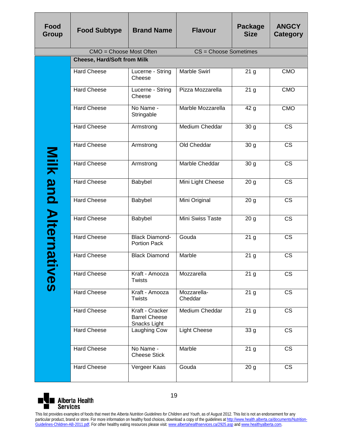| <b>Food</b><br>Group | <b>Food Subtype</b>                                                                                                                                                                                                                                                                                                             | <b>Brand Name</b>                                       | <b>Flavour</b>         | <b>Package</b><br><b>Size</b> | <b>ANGCY</b><br><b>Category</b> |  |  |  |
|----------------------|---------------------------------------------------------------------------------------------------------------------------------------------------------------------------------------------------------------------------------------------------------------------------------------------------------------------------------|---------------------------------------------------------|------------------------|-------------------------------|---------------------------------|--|--|--|
|                      | CMO = Choose Most Often                                                                                                                                                                                                                                                                                                         |                                                         | CS = Choose Sometimes  |                               |                                 |  |  |  |
|                      | <b>Cheese, Hard/Soft from Milk</b>                                                                                                                                                                                                                                                                                              |                                                         |                        |                               |                                 |  |  |  |
|                      | <b>Hard Cheese</b>                                                                                                                                                                                                                                                                                                              | Lucerne - String<br>Cheese                              | Marble Swirl           | 21 <sub>g</sub>               | <b>CMO</b>                      |  |  |  |
|                      | <b>Hard Cheese</b>                                                                                                                                                                                                                                                                                                              | Lucerne - String<br>Cheese                              | Pizza Mozzarella       | 21 <sub>g</sub>               | <b>CMO</b>                      |  |  |  |
|                      | <b>Hard Cheese</b>                                                                                                                                                                                                                                                                                                              | No Name -<br>Stringable                                 | Marble Mozzarella      | 42 g                          | <b>CMO</b>                      |  |  |  |
|                      | <b>Hard Cheese</b>                                                                                                                                                                                                                                                                                                              | Armstrong                                               | <b>Medium Cheddar</b>  | 30 <sub>g</sub>               | <b>CS</b>                       |  |  |  |
|                      | <b>Hard Cheese</b>                                                                                                                                                                                                                                                                                                              | Armstrong                                               | Old Cheddar            | 30 <sub>g</sub>               | <b>CS</b>                       |  |  |  |
| Nilk                 | <b>Hard Cheese</b>                                                                                                                                                                                                                                                                                                              | Armstrong                                               | Marble Cheddar         | 30 <sub>g</sub>               | <b>CS</b>                       |  |  |  |
| and                  | <b>Hard Cheese</b>                                                                                                                                                                                                                                                                                                              | Babybel                                                 | Mini Light Cheese      | 20 <sub>g</sub>               | $\overline{\text{CS}}$          |  |  |  |
|                      | <b>Hard Cheese</b>                                                                                                                                                                                                                                                                                                              | Babybel                                                 | Mini Original          | 20 <sub>g</sub>               | $\overline{\text{CS}}$          |  |  |  |
|                      | <b>Hard Cheese</b>                                                                                                                                                                                                                                                                                                              | Babybel                                                 | Mini Swiss Taste       | 20 <sub>g</sub>               | <b>CS</b>                       |  |  |  |
| <b>Alternat</b>      | <b>Hard Cheese</b>                                                                                                                                                                                                                                                                                                              | <b>Black Diamond-</b><br><b>Portion Pack</b>            | Gouda                  | 21 <sub>g</sub>               | <b>CS</b>                       |  |  |  |
|                      | <b>Hard Cheese</b>                                                                                                                                                                                                                                                                                                              | <b>Black Diamond</b>                                    | Marble                 | 21 <sub>g</sub>               | <b>CS</b>                       |  |  |  |
| <b>IVGS</b>          | <b>Hard Cheese</b>                                                                                                                                                                                                                                                                                                              | Kraft - Amooza<br><b>Twists</b>                         | Mozzarella             | 21 <sub>g</sub>               | <b>CS</b>                       |  |  |  |
|                      | <b>Hard Cheese</b>                                                                                                                                                                                                                                                                                                              | Kraft - Amooza<br>Twists                                | Mozzarella-<br>Cheddar | 21 <sub>g</sub>               | <b>CS</b>                       |  |  |  |
|                      | <b>Hard Cheese</b>                                                                                                                                                                                                                                                                                                              | Kraft - Cracker<br><b>Barrel Cheese</b><br>Snacks Light | Medium Cheddar         | 21 <sub>g</sub>               | <b>CS</b>                       |  |  |  |
|                      | <b>Hard Cheese</b>                                                                                                                                                                                                                                                                                                              | Laughing Cow                                            | <b>Light Cheese</b>    | 33 <sub>g</sub>               | <b>CS</b>                       |  |  |  |
|                      | <b>Hard Cheese</b>                                                                                                                                                                                                                                                                                                              | No Name -<br><b>Cheese Stick</b>                        | Marble                 | 21 <sub>g</sub>               | CS                              |  |  |  |
|                      | <b>Hard Cheese</b>                                                                                                                                                                                                                                                                                                              | Vergeer Kaas                                            | Gouda                  | 20 <sub>g</sub>               | <b>CS</b>                       |  |  |  |
|                      | 19<br><b>Alberta Health</b><br><b>Services</b><br>This list provides examples of foods that meet the Alberta Nutrition Guidelines for Children and Youth, as of August 2012. This list is not an endorsement for any                                                                                                            |                                                         |                        |                               |                                 |  |  |  |
|                      | particular product, brand or store. For more information on healthy food choices, download a copy of the guidelines at http://www.health.alberta.ca/documents/Nutrition-<br>Guidelines-Children-AB-2011.pdf. For other healthy eating resources please visit: www.albertahealthservices.ca/2925.asp and www.healthyalberta.com. |                                                         |                        |                               |                                 |  |  |  |

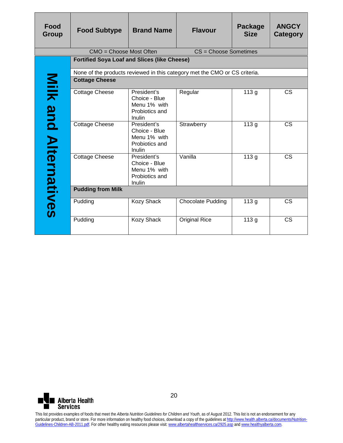| <b>Food</b><br><b>Group</b> | <b>Food Subtype</b>                                                                                                                                                                                                                                                                                                            | <b>Brand Name</b>                                                        | <b>Flavour</b>                                                             | <b>Package</b><br><b>Size</b> | <b>ANGCY</b><br>Category |  |  |  |
|-----------------------------|--------------------------------------------------------------------------------------------------------------------------------------------------------------------------------------------------------------------------------------------------------------------------------------------------------------------------------|--------------------------------------------------------------------------|----------------------------------------------------------------------------|-------------------------------|--------------------------|--|--|--|
|                             | CMO = Choose Most Often                                                                                                                                                                                                                                                                                                        |                                                                          | CS = Choose Sometimes                                                      |                               |                          |  |  |  |
|                             | <b>Fortified Soya Loaf and Slices (like Cheese)</b>                                                                                                                                                                                                                                                                            |                                                                          |                                                                            |                               |                          |  |  |  |
|                             |                                                                                                                                                                                                                                                                                                                                |                                                                          | None of the products reviewed in this category met the CMO or CS criteria. |                               |                          |  |  |  |
|                             | <b>Cottage Cheese</b>                                                                                                                                                                                                                                                                                                          |                                                                          |                                                                            |                               |                          |  |  |  |
| Milk and Alternatives       | <b>Cottage Cheese</b>                                                                                                                                                                                                                                                                                                          | President's<br>Choice - Blue<br>Menu 1% with<br>Probiotics and<br>Inulin | Regular                                                                    | 113g                          | <b>CS</b>                |  |  |  |
|                             | <b>Cottage Cheese</b>                                                                                                                                                                                                                                                                                                          | President's<br>Choice - Blue<br>Menu 1% with<br>Probiotics and<br>Inulin | Strawberry                                                                 | 113g                          | <b>CS</b>                |  |  |  |
|                             | Cottage Cheese                                                                                                                                                                                                                                                                                                                 | President's<br>Choice - Blue<br>Menu 1% with<br>Probiotics and<br>Inulin | Vanilla                                                                    | 113g                          | <b>CS</b>                |  |  |  |
|                             | <b>Pudding from Milk</b>                                                                                                                                                                                                                                                                                                       |                                                                          |                                                                            |                               |                          |  |  |  |
|                             | Pudding                                                                                                                                                                                                                                                                                                                        | Kozy Shack                                                               | <b>Chocolate Pudding</b>                                                   | 113g                          | <b>CS</b>                |  |  |  |
|                             | Pudding                                                                                                                                                                                                                                                                                                                        | Kozy Shack                                                               | <b>Original Rice</b>                                                       | 113g                          | <b>CS</b>                |  |  |  |
|                             |                                                                                                                                                                                                                                                                                                                                |                                                                          |                                                                            |                               |                          |  |  |  |
| <b>Services</b>             | <b>Alberta Health</b><br>This list provides examples of foods that meet the Alberta Nutrition Guidelines for Children and Youth, as of August 2012. This list is not an endorsement for any                                                                                                                                    | 20                                                                       |                                                                            |                               |                          |  |  |  |
|                             | particular product, brand or store. For more information on healthy food choices, download a copy of the guidelines at http://www.health.alberta.ca/documents/Nutrition-<br>Guidelines-Children-AB-2011.pdf. For other healthy eating resources please visit: www.albertahealthservices.ca/2925.asp and www.healthyalberta.com |                                                                          |                                                                            |                               |                          |  |  |  |

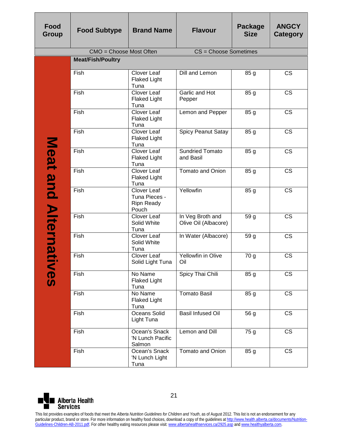| Food<br>Group     | <b>Food Subtype</b>                                                                                                                                                                                                                                                                                                                                                                                                                                                                                   | <b>Brand Name</b>                                          | <b>Flavour</b>                           | <b>Package</b><br><b>Size</b> | <b>ANGCY</b><br><b>Category</b> |
|-------------------|-------------------------------------------------------------------------------------------------------------------------------------------------------------------------------------------------------------------------------------------------------------------------------------------------------------------------------------------------------------------------------------------------------------------------------------------------------------------------------------------------------|------------------------------------------------------------|------------------------------------------|-------------------------------|---------------------------------|
|                   | CMO = Choose Most Often                                                                                                                                                                                                                                                                                                                                                                                                                                                                               |                                                            | CS = Choose Sometimes                    |                               |                                 |
|                   | <b>Meat/Fish/Poultry</b>                                                                                                                                                                                                                                                                                                                                                                                                                                                                              |                                                            |                                          |                               |                                 |
|                   | Fish                                                                                                                                                                                                                                                                                                                                                                                                                                                                                                  | Clover Leaf<br><b>Flaked Light</b><br>Tuna                 | <b>Dill and Lemon</b>                    | 85 g                          | <b>CS</b>                       |
|                   | Fish                                                                                                                                                                                                                                                                                                                                                                                                                                                                                                  | Clover Leaf<br><b>Flaked Light</b><br>Tuna                 | Garlic and Hot<br>Pepper                 | 85 g                          | <b>CS</b>                       |
|                   | Fish                                                                                                                                                                                                                                                                                                                                                                                                                                                                                                  | Clover Leaf<br><b>Flaked Light</b><br>Tuna                 | Lemon and Pepper                         | 85 g                          | $\overline{\text{CS}}$          |
|                   | Fish                                                                                                                                                                                                                                                                                                                                                                                                                                                                                                  | Clover Leaf<br><b>Flaked Light</b><br>Tuna                 | <b>Spicy Peanut Satay</b>                | 85 g                          | $\overline{\text{CS}}$          |
|                   | Fish                                                                                                                                                                                                                                                                                                                                                                                                                                                                                                  | Clover Leaf<br><b>Flaked Light</b><br>Tuna                 | <b>Sundried Tomato</b><br>and Basil      | 85 g                          | <b>CS</b>                       |
|                   | Fish                                                                                                                                                                                                                                                                                                                                                                                                                                                                                                  | <b>Clover Leaf</b><br><b>Flaked Light</b><br>Tuna          | Tomato and Onion                         | 85 g                          | <b>CS</b>                       |
| Meat and Alternat | Fish                                                                                                                                                                                                                                                                                                                                                                                                                                                                                                  | Clover Leaf<br>Tuna Pieces -<br><b>Ripn Ready</b><br>Pouch | Yellowfin                                | 85 g                          | <b>CS</b>                       |
|                   | Fish                                                                                                                                                                                                                                                                                                                                                                                                                                                                                                  | Clover Leaf<br>Solid White<br>Tuna                         | In Veg Broth and<br>Olive Oil (Albacore) | 59 g                          | <b>CS</b>                       |
|                   | Fish                                                                                                                                                                                                                                                                                                                                                                                                                                                                                                  | Clover Leaf<br>Solid White<br>Tuna                         | In Water (Albacore)                      | 59 g                          | <b>CS</b>                       |
|                   | Fish                                                                                                                                                                                                                                                                                                                                                                                                                                                                                                  | Clover Leaf<br>Solid Light Tuna                            | Yellowfin in Olive<br>Oil                | 70 g                          | <b>CS</b>                       |
| <b>NGS</b>        | Fish                                                                                                                                                                                                                                                                                                                                                                                                                                                                                                  | No Name<br><b>Flaked Light</b><br>Tuna                     | Spicy Thai Chili                         | 85 g                          | <b>CS</b>                       |
|                   | Fish                                                                                                                                                                                                                                                                                                                                                                                                                                                                                                  | No Name<br><b>Flaked Light</b><br>Tuna                     | <b>Tomato Basil</b>                      | 85 g                          | $\overline{\text{CS}}$          |
|                   | Fish                                                                                                                                                                                                                                                                                                                                                                                                                                                                                                  | Oceans Solid<br>Light Tuna                                 | <b>Basil Infused Oil</b>                 | 56 g                          | <b>CS</b>                       |
|                   | Fish                                                                                                                                                                                                                                                                                                                                                                                                                                                                                                  | Ocean's Snack<br>'N Lunch Pacific<br>Salmon                | Lemon and Dill                           | 75 g                          | CS                              |
|                   | Fish                                                                                                                                                                                                                                                                                                                                                                                                                                                                                                  | Ocean's Snack<br>'N Lunch Light<br>Tuna                    | <b>Tomato and Onion</b>                  | 85 g                          | <b>CS</b>                       |
|                   |                                                                                                                                                                                                                                                                                                                                                                                                                                                                                                       |                                                            |                                          |                               |                                 |
| <b>Services</b>   | <b>Alberta Health</b>                                                                                                                                                                                                                                                                                                                                                                                                                                                                                 | 21                                                         |                                          |                               |                                 |
|                   | This list provides examples of foods that meet the Alberta Nutrition Guidelines for Children and Youth, as of August 2012. This list is not an endorsement for any<br>particular product, brand or store. For more information on healthy food choices, download a copy of the guidelines at http://www.health.alberta.ca/documents/Nutrition-<br>Guidelines-Children-AB-2011.pdf. For other healthy eating resources please visit: www.albertahealthservices.ca/2925.asp and www.healthyalberta.com. |                                                            |                                          |                               |                                 |

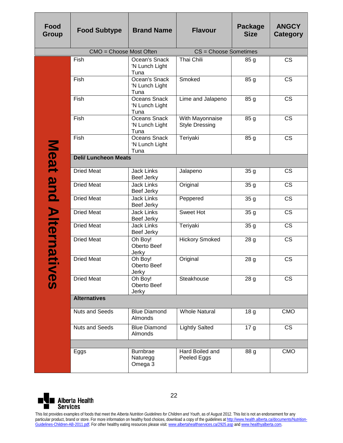| Food<br><b>Group</b> | <b>Food Subtype</b>         | <b>Brand Name</b>                       | <b>Flavour</b>                           | Package<br><b>Size</b> | <b>ANGCY</b><br><b>Category</b> |
|----------------------|-----------------------------|-----------------------------------------|------------------------------------------|------------------------|---------------------------------|
|                      | CMO = Choose Most Often     |                                         | CS = Choose Sometimes                    |                        |                                 |
|                      | Fish                        | Ocean's Snack<br>'N Lunch Light<br>Tuna | <b>Thai Chili</b>                        | 85 g                   | $\overline{\text{CS}}$          |
|                      | Fish                        | Ocean's Snack<br>'N Lunch Light<br>Tuna | Smoked                                   | 85 g                   | <b>CS</b>                       |
|                      | Fish                        | Oceans Snack<br>'N Lunch Light<br>Tuna  | Lime and Jalapeno                        | 85 g                   | <b>CS</b>                       |
|                      | Fish                        | Oceans Snack<br>'N Lunch Light<br>Tuna  | With Mayonnaise<br><b>Style Dressing</b> | 85 g                   | $\overline{\text{CS}}$          |
|                      | Fish                        | Oceans Snack<br>'N Lunch Light<br>Tuna  | Teriyaki                                 | 85 g                   | <b>CS</b>                       |
|                      | <b>Deli/ Luncheon Meats</b> |                                         |                                          |                        |                                 |
|                      | <b>Dried Meat</b>           | <b>Jack Links</b><br>Beef Jerky         | Jalapeno                                 | 35 <sub>g</sub>        | <b>CS</b>                       |
| Meat and             | <b>Dried Meat</b>           | <b>Jack Links</b><br>Beef Jerky         | Original                                 | 35 <sub>g</sub>        | $\overline{\text{CS}}$          |
|                      | <b>Dried Meat</b>           | <b>Jack Links</b><br>Beef Jerky         | Peppered                                 | 35 <sub>g</sub>        | $\overline{\text{cs}}$          |
|                      | <b>Dried Meat</b>           | <b>Jack Links</b><br>Beef Jerky         | Sweet Hot                                | 35 g                   | <b>CS</b>                       |
|                      | <b>Dried Meat</b>           | <b>Jack Links</b><br>Beef Jerky         | Teriyaki                                 | 35g                    | $\overline{\text{CS}}$          |
| <b>Alternat</b>      | <b>Dried Meat</b>           | Oh Boy!<br>Oberto Beef<br>Jerky         | <b>Hickory Smoked</b>                    | 28 <sub>g</sub>        | $\overline{\text{CS}}$          |
|                      | <b>Dried Meat</b>           | Oh Boy!<br>Oberto Beef<br>Jerky         | Original                                 | 28 g                   | <b>CS</b>                       |
| SON                  | <b>Dried Meat</b>           | Oh Boy!<br>Oberto Beef<br>Jerky         | Steakhouse                               | 28 g                   | $\overline{\text{CS}}$          |
|                      | <b>Alternatives</b>         |                                         |                                          |                        |                                 |
|                      | <b>Nuts and Seeds</b>       | <b>Blue Diamond</b><br>Almonds          | <b>Whole Natural</b>                     | 18 g                   | <b>CMO</b>                      |
|                      | <b>Nuts and Seeds</b>       | <b>Blue Diamond</b><br>Almonds          | <b>Lightly Salted</b>                    | 17 <sub>g</sub>        | $\overline{\text{CS}}$          |
|                      |                             |                                         |                                          |                        |                                 |
|                      | Eggs                        | Burnbrae<br>Naturegg<br>Omega 3         | Hard Boiled and<br>Peeled Eggs           | 88 g                   | <b>CMO</b>                      |

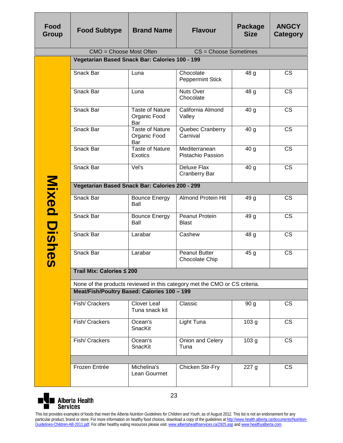| <b>Food</b><br>Group | <b>Food Subtype</b>                                                                                                                                                                                                                                                                                                                                                                                                                                                                                   | <b>Brand Name</b>                             | <b>Flavour</b>                                                             | Package<br><b>Size</b> | <b>ANGCY</b><br>Category |  |  |  |  |
|----------------------|-------------------------------------------------------------------------------------------------------------------------------------------------------------------------------------------------------------------------------------------------------------------------------------------------------------------------------------------------------------------------------------------------------------------------------------------------------------------------------------------------------|-----------------------------------------------|----------------------------------------------------------------------------|------------------------|--------------------------|--|--|--|--|
|                      | CMO = Choose Most Often                                                                                                                                                                                                                                                                                                                                                                                                                                                                               |                                               | CS = Choose Sometimes                                                      |                        |                          |  |  |  |  |
|                      | Vegetarian Based Snack Bar: Calories 100 - 199                                                                                                                                                                                                                                                                                                                                                                                                                                                        |                                               |                                                                            |                        |                          |  |  |  |  |
|                      | Snack Bar                                                                                                                                                                                                                                                                                                                                                                                                                                                                                             | Luna                                          | Chocolate<br><b>Peppermint Stick</b>                                       | 48 g                   | <b>CS</b>                |  |  |  |  |
|                      | Snack Bar                                                                                                                                                                                                                                                                                                                                                                                                                                                                                             | Luna                                          | <b>Nuts Over</b><br>Chocolate                                              | 48 g                   | <b>CS</b>                |  |  |  |  |
|                      | Snack Bar                                                                                                                                                                                                                                                                                                                                                                                                                                                                                             | <b>Taste of Nature</b><br>Organic Food<br>Bar | California Almond<br>Valley                                                | 40 <sub>q</sub>        | <b>CS</b>                |  |  |  |  |
|                      | Snack Bar                                                                                                                                                                                                                                                                                                                                                                                                                                                                                             | <b>Taste of Nature</b><br>Organic Food<br>Bar | Quebec Cranberry<br>Carnival                                               | 40g                    | <b>CS</b>                |  |  |  |  |
|                      | Snack Bar                                                                                                                                                                                                                                                                                                                                                                                                                                                                                             | <b>Taste of Nature</b><br><b>Exotics</b>      | Mediterranean<br>Pistachio Passion                                         | 40 <sub>q</sub>        | <b>CS</b>                |  |  |  |  |
|                      | Snack Bar                                                                                                                                                                                                                                                                                                                                                                                                                                                                                             | Vel's                                         | Deluxe Flax<br><b>Cranberry Bar</b>                                        | 40 g                   | $\overline{\text{CS}}$   |  |  |  |  |
|                      | Vegetarian Based Snack Bar: Calories 200 - 299                                                                                                                                                                                                                                                                                                                                                                                                                                                        |                                               |                                                                            |                        |                          |  |  |  |  |
| Mixed                | Snack Bar                                                                                                                                                                                                                                                                                                                                                                                                                                                                                             | <b>Bounce Energy</b><br>Ball                  | <b>Almond Protein Hit</b>                                                  | 49 g                   | <b>CS</b>                |  |  |  |  |
|                      | Snack Bar                                                                                                                                                                                                                                                                                                                                                                                                                                                                                             | <b>Bounce Energy</b><br>Ball                  | Peanut Protein<br>Blast                                                    | 49 g                   | <b>CS</b>                |  |  |  |  |
| Dishe                | Snack Bar                                                                                                                                                                                                                                                                                                                                                                                                                                                                                             | Larabar                                       | Cashew                                                                     | 48 g                   | <b>CS</b>                |  |  |  |  |
| M                    | Snack Bar                                                                                                                                                                                                                                                                                                                                                                                                                                                                                             | Larabar                                       | Peanut Butter<br><b>Chocolate Chip</b>                                     | 45 g                   | <b>CS</b>                |  |  |  |  |
|                      | Trail Mix: Calories ≤ 200                                                                                                                                                                                                                                                                                                                                                                                                                                                                             |                                               |                                                                            |                        |                          |  |  |  |  |
|                      |                                                                                                                                                                                                                                                                                                                                                                                                                                                                                                       |                                               | None of the products reviewed in this category met the CMO or CS criteria. |                        |                          |  |  |  |  |
|                      | Meat/Fish/Poultry Based: Calories 100 - 199                                                                                                                                                                                                                                                                                                                                                                                                                                                           |                                               |                                                                            |                        |                          |  |  |  |  |
|                      | Fish/ Crackers                                                                                                                                                                                                                                                                                                                                                                                                                                                                                        | Clover Leaf<br>Tuna snack kit                 | Classic                                                                    | 90 <sub>g</sub>        | <b>CS</b>                |  |  |  |  |
|                      | Fish/ Crackers                                                                                                                                                                                                                                                                                                                                                                                                                                                                                        | Ocean's<br>SnacKit                            | Light Tuna                                                                 | 103 <sub>g</sub>       | <b>CS</b>                |  |  |  |  |
|                      | Fish/ Crackers                                                                                                                                                                                                                                                                                                                                                                                                                                                                                        | Ocean's<br>SnacKit                            | Onion and Celery<br>Tuna                                                   | 103 <sub>g</sub>       | <b>CS</b>                |  |  |  |  |
|                      |                                                                                                                                                                                                                                                                                                                                                                                                                                                                                                       |                                               |                                                                            |                        |                          |  |  |  |  |
|                      | Frozen Entrée                                                                                                                                                                                                                                                                                                                                                                                                                                                                                         | Michelina's<br>Lean Gourmet                   | <b>Chicken Stir-Fry</b>                                                    | 227g                   | <b>CS</b>                |  |  |  |  |
|                      | <b>Alberta Health</b>                                                                                                                                                                                                                                                                                                                                                                                                                                                                                 | 23                                            |                                                                            |                        |                          |  |  |  |  |
| Services             | This list provides examples of foods that meet the Alberta Nutrition Guidelines for Children and Youth, as of August 2012. This list is not an endorsement for any<br>particular product, brand or store. For more information on healthy food choices, download a copy of the guidelines at http://www.health.alberta.ca/documents/Nutrition-<br>Guidelines-Children-AB-2011.pdf. For other healthy eating resources please visit: www.albertahealthservices.ca/2925.asp and www.healthyalberta.com. |                                               |                                                                            |                        |                          |  |  |  |  |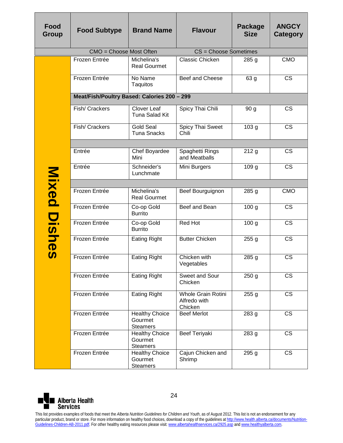| Food<br>Group                                   | <b>Food Subtype</b>                                                                                                                                                                                                                                                                                                                            | <b>Brand Name</b>                                   | <b>Flavour</b>                                       | Package<br><b>Size</b> | <b>ANGCY</b><br>Category |  |
|-------------------------------------------------|------------------------------------------------------------------------------------------------------------------------------------------------------------------------------------------------------------------------------------------------------------------------------------------------------------------------------------------------|-----------------------------------------------------|------------------------------------------------------|------------------------|--------------------------|--|
|                                                 | CMO = Choose Most Often                                                                                                                                                                                                                                                                                                                        |                                                     | CS = Choose Sometimes                                |                        |                          |  |
|                                                 | Frozen Entrée                                                                                                                                                                                                                                                                                                                                  | Michelina's<br><b>Real Gourmet</b>                  | Classic Chicken                                      | 285 <sub>g</sub>       | <b>CMO</b>               |  |
|                                                 | Frozen Entrée                                                                                                                                                                                                                                                                                                                                  | No Name<br>Taquitos                                 | Beef and Cheese                                      | 63 g                   | <b>CS</b>                |  |
|                                                 | Meat/Fish/Poultry Based: Calories 200 - 299                                                                                                                                                                                                                                                                                                    |                                                     |                                                      |                        |                          |  |
|                                                 | Fish/ Crackers                                                                                                                                                                                                                                                                                                                                 | Clover Leaf<br>Tuna Salad Kit                       | Spicy Thai Chili                                     | 90 g                   | <b>CS</b>                |  |
|                                                 | Fish/ Crackers                                                                                                                                                                                                                                                                                                                                 | <b>Gold Seal</b><br><b>Tuna Snacks</b>              | Spicy Thai Sweet<br>Chili                            | 103 <sub>g</sub>       | $\overline{\text{CS}}$   |  |
|                                                 |                                                                                                                                                                                                                                                                                                                                                |                                                     |                                                      |                        |                          |  |
|                                                 | Entrée                                                                                                                                                                                                                                                                                                                                         | Chef Boyardee<br>Mini                               | Spaghetti Rings<br>and Meatballs                     | 212g                   | <b>CS</b>                |  |
|                                                 | Entrée                                                                                                                                                                                                                                                                                                                                         | Schneider's<br>Lunchmate                            | Mini Burgers                                         | 109 <sub>g</sub>       | <b>CS</b>                |  |
|                                                 |                                                                                                                                                                                                                                                                                                                                                |                                                     |                                                      |                        |                          |  |
| Mixed                                           | Frozen Entrée                                                                                                                                                                                                                                                                                                                                  | Michelina's<br><b>Real Gourmet</b>                  | Beef Bourguignon                                     | 285g                   | <b>CMO</b>               |  |
|                                                 | Frozen Entrée                                                                                                                                                                                                                                                                                                                                  | Co-op Gold<br><b>Burrito</b>                        | Beef and Bean                                        | 100 <sub>g</sub>       | $\overline{\text{CS}}$   |  |
| Dis                                             | Frozen Entrée                                                                                                                                                                                                                                                                                                                                  | Co-op Gold<br><b>Burrito</b>                        | Red Hot                                              | 100 <sub>g</sub>       | <b>CS</b>                |  |
| $\overline{\phantom{0}}$<br>$\boldsymbol{\Phi}$ | Frozen Entrée                                                                                                                                                                                                                                                                                                                                  | <b>Eating Right</b>                                 | <b>Butter Chicken</b>                                | 255g                   | <b>CS</b>                |  |
| M                                               | Frozen Entrée                                                                                                                                                                                                                                                                                                                                  | <b>Eating Right</b>                                 | Chicken with<br>Vegetables                           | 285 g                  | <b>CS</b>                |  |
|                                                 | Frozen Entrée                                                                                                                                                                                                                                                                                                                                  | <b>Eating Right</b>                                 | Sweet and Sour<br>Chicken                            | 250 <sub>g</sub>       | <b>CS</b>                |  |
|                                                 | Frozen Entrée                                                                                                                                                                                                                                                                                                                                  | <b>Eating Right</b>                                 | <b>Whole Grain Rotini</b><br>Alfredo with<br>Chicken | 255g                   | $\overline{\text{CS}}$   |  |
|                                                 | Frozen Entrée                                                                                                                                                                                                                                                                                                                                  | <b>Healthy Choice</b><br>Gourmet<br><b>Steamers</b> | <b>Beef Merlot</b>                                   | 283 g                  | <b>CS</b>                |  |
|                                                 | Frozen Entrée                                                                                                                                                                                                                                                                                                                                  | <b>Healthy Choice</b><br>Gourmet<br><b>Steamers</b> | <b>Beef Teriyaki</b>                                 | 283 g                  | $\overline{\text{CS}}$   |  |
|                                                 | Frozen Entrée                                                                                                                                                                                                                                                                                                                                  | <b>Healthy Choice</b><br>Gourmet<br><b>Steamers</b> | Cajun Chicken and<br>Shrimp                          | 295 g                  | $\overline{\text{CS}}$   |  |
| 24<br><b>Alberta Health</b>                     |                                                                                                                                                                                                                                                                                                                                                |                                                     |                                                      |                        |                          |  |
| <b>Services</b>                                 | This list provides examples of foods that meet the Alberta Nutrition Guidelines for Children and Youth, as of August 2012. This list is not an endorsement for any<br>particular product, brand or store. For more information on healthy food choices, download a copy of the guidelines at http://www.health.alberta.ca/documents/Nutrition- |                                                     |                                                      |                        |                          |  |
|                                                 | Guidelines-Children-AB-2011.pdf. For other healthy eating resources please visit: www.albertahealthservices.ca/2925.asp and www.healthyalberta.com.                                                                                                                                                                                            |                                                     |                                                      |                        |                          |  |

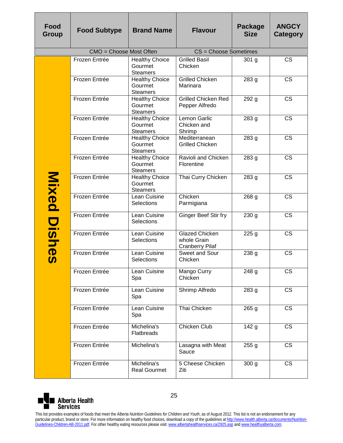| Food<br>Group            | <b>Food Subtype</b>                                                                                                                                                                                                                                                                                                                                                                                                                                                                                   | <b>Brand Name</b>                                   | <b>Flavour</b>                                                 | Package<br><b>Size</b> | <b>ANGCY</b><br>Category |  |  |
|--------------------------|-------------------------------------------------------------------------------------------------------------------------------------------------------------------------------------------------------------------------------------------------------------------------------------------------------------------------------------------------------------------------------------------------------------------------------------------------------------------------------------------------------|-----------------------------------------------------|----------------------------------------------------------------|------------------------|--------------------------|--|--|
|                          | CMO = Choose Most Often                                                                                                                                                                                                                                                                                                                                                                                                                                                                               |                                                     | CS = Choose Sometimes                                          |                        |                          |  |  |
|                          | Frozen Entrée                                                                                                                                                                                                                                                                                                                                                                                                                                                                                         | <b>Healthy Choice</b><br>Gourmet<br><b>Steamers</b> | <b>Grilled Basil</b><br>Chicken                                | 301 g                  | <b>CS</b>                |  |  |
|                          | Frozen Entrée                                                                                                                                                                                                                                                                                                                                                                                                                                                                                         | <b>Healthy Choice</b><br>Gourmet<br><b>Steamers</b> | <b>Grilled Chicken</b><br>Marinara                             | 283 g                  | $\overline{\text{CS}}$   |  |  |
|                          | Frozen Entrée                                                                                                                                                                                                                                                                                                                                                                                                                                                                                         | <b>Healthy Choice</b><br>Gourmet<br><b>Steamers</b> | <b>Grilled Chicken Red</b><br>Pepper Alfredo                   | 292 g                  | <b>CS</b>                |  |  |
|                          | Frozen Entrée                                                                                                                                                                                                                                                                                                                                                                                                                                                                                         | <b>Healthy Choice</b><br>Gourmet<br><b>Steamers</b> | Lemon Garlic<br>Chicken and<br>Shrimp                          | 283 g                  | <b>CS</b>                |  |  |
|                          | Frozen Entrée                                                                                                                                                                                                                                                                                                                                                                                                                                                                                         | <b>Healthy Choice</b><br>Gourmet<br><b>Steamers</b> | Mediterranean<br><b>Grilled Chicken</b>                        | 283 g                  | <b>CS</b>                |  |  |
|                          | Frozen Entrée                                                                                                                                                                                                                                                                                                                                                                                                                                                                                         | <b>Healthy Choice</b><br>Gourmet<br><b>Steamers</b> | Ravioli and Chicken<br>Florentine                              | 283 g                  | <b>CS</b>                |  |  |
| Mixed                    | Frozen Entrée                                                                                                                                                                                                                                                                                                                                                                                                                                                                                         | <b>Healthy Choice</b><br>Gourmet<br><b>Steamers</b> | Thai Curry Chicken                                             | 283 g                  | <b>CS</b>                |  |  |
|                          | Frozen Entrée                                                                                                                                                                                                                                                                                                                                                                                                                                                                                         | Lean Cuisine<br>Selections                          | Chicken<br>Parmigiana                                          | 268 g                  | $\overline{\text{CS}}$   |  |  |
| Dis                      | Frozen Entrée                                                                                                                                                                                                                                                                                                                                                                                                                                                                                         | Lean Cuisine<br>Selections                          | Ginger Beef Stir fry                                           | 230 <sub>g</sub>       | <b>CS</b>                |  |  |
| $\overline{\mathbf{z}}$  | Frozen Entrée                                                                                                                                                                                                                                                                                                                                                                                                                                                                                         | Lean Cuisine<br>Selections                          | <b>Glazed Chicken</b><br>whole Grain<br><b>Cranberry Pilaf</b> | 225g                   | $\overline{\text{CS}}$   |  |  |
| $\boldsymbol{\Phi}$<br>M | Frozen Entrée                                                                                                                                                                                                                                                                                                                                                                                                                                                                                         | Lean Cuisine<br>Selections                          | Sweet and Sour<br>Chicken                                      | 238 g                  | <b>CS</b>                |  |  |
|                          | Frozen Entrée                                                                                                                                                                                                                                                                                                                                                                                                                                                                                         | Lean Cuisine<br>Spa                                 | Mango Curry<br>Chicken                                         | 248 g                  | <b>CS</b>                |  |  |
|                          | Frozen Entrée                                                                                                                                                                                                                                                                                                                                                                                                                                                                                         | Lean Cuisine<br>Spa                                 | Shrimp Alfredo                                                 | 283 g                  | <b>CS</b>                |  |  |
|                          | Frozen Entrée                                                                                                                                                                                                                                                                                                                                                                                                                                                                                         | Lean Cuisine<br>Spa                                 | Thai Chicken                                                   | 265 g                  | $\overline{\text{CS}}$   |  |  |
|                          | Frozen Entrée                                                                                                                                                                                                                                                                                                                                                                                                                                                                                         | Michelina's<br><b>Flatbreads</b>                    | <b>Chicken Club</b>                                            | 142g                   | $\overline{\text{CS}}$   |  |  |
|                          | Frozen Entrée                                                                                                                                                                                                                                                                                                                                                                                                                                                                                         | Michelina's                                         | Lasagna with Meat<br>Sauce                                     | 255g                   | <b>CS</b>                |  |  |
|                          | Frozen Entrée                                                                                                                                                                                                                                                                                                                                                                                                                                                                                         | Michelina's<br><b>Real Gourmet</b>                  | 5 Cheese Chicken<br>Ziti                                       | 300 <sub>g</sub>       | <b>CS</b>                |  |  |
|                          | 25<br><b>Alberta Health</b><br><b>Services</b>                                                                                                                                                                                                                                                                                                                                                                                                                                                        |                                                     |                                                                |                        |                          |  |  |
|                          | This list provides examples of foods that meet the Alberta Nutrition Guidelines for Children and Youth, as of August 2012. This list is not an endorsement for any<br>particular product, brand or store. For more information on healthy food choices, download a copy of the guidelines at http://www.health.alberta.ca/documents/Nutrition-<br>Guidelines-Children-AB-2011.pdf. For other healthy eating resources please visit: www.albertahealthservices.ca/2925.asp and www.healthyalberta.com. |                                                     |                                                                |                        |                          |  |  |

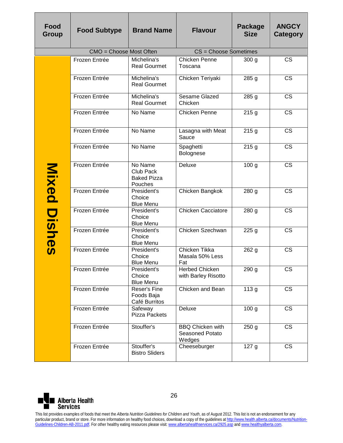| Food<br>Group                                                                | <b>Food Subtype</b>                                                                                                                                                                                                                                                                                                                                                                                                                                                                                   | <b>Brand Name</b>                                            | <b>Flavour</b>                                       | <b>Package</b><br><b>Size</b> | <b>ANGCY</b><br><b>Category</b> |  |
|------------------------------------------------------------------------------|-------------------------------------------------------------------------------------------------------------------------------------------------------------------------------------------------------------------------------------------------------------------------------------------------------------------------------------------------------------------------------------------------------------------------------------------------------------------------------------------------------|--------------------------------------------------------------|------------------------------------------------------|-------------------------------|---------------------------------|--|
|                                                                              | CMO = Choose Most Often                                                                                                                                                                                                                                                                                                                                                                                                                                                                               |                                                              | CS = Choose Sometimes                                |                               |                                 |  |
|                                                                              | Frozen Entrée                                                                                                                                                                                                                                                                                                                                                                                                                                                                                         | Michelina's<br><b>Real Gourmet</b>                           | <b>Chicken Penne</b><br>Toscana                      | 300 <sub>g</sub>              | <b>CS</b>                       |  |
|                                                                              | Frozen Entrée                                                                                                                                                                                                                                                                                                                                                                                                                                                                                         | Michelina's<br><b>Real Gourmet</b>                           | Chicken Teriyaki                                     | 285 <sub>g</sub>              | <b>CS</b>                       |  |
|                                                                              | Frozen Entrée                                                                                                                                                                                                                                                                                                                                                                                                                                                                                         | Michelina's<br><b>Real Gourmet</b>                           | Sesame Glazed<br>Chicken                             | 285 g                         | <b>CS</b>                       |  |
|                                                                              | Frozen Entrée                                                                                                                                                                                                                                                                                                                                                                                                                                                                                         | No Name                                                      | Chicken Penne                                        | 215g                          | <b>CS</b>                       |  |
|                                                                              | Frozen Entrée                                                                                                                                                                                                                                                                                                                                                                                                                                                                                         | No Name                                                      | Lasagna with Meat<br>Sauce                           | 215g                          | <b>CS</b>                       |  |
|                                                                              | Frozen Entrée                                                                                                                                                                                                                                                                                                                                                                                                                                                                                         | No Name                                                      | Spaghetti<br>Bolognese                               | 215g                          | $\overline{\text{CS}}$          |  |
| Mixed<br>Dish<br>$\overline{\mathbf{D}}$<br>$\boldsymbol{\boldsymbol{\eta}}$ | Frozen Entrée                                                                                                                                                                                                                                                                                                                                                                                                                                                                                         | No Name<br><b>Club Pack</b><br><b>Baked Pizza</b><br>Pouches | <b>Deluxe</b>                                        | 100 <sub>g</sub>              | <b>CS</b>                       |  |
|                                                                              | Frozen Entrée                                                                                                                                                                                                                                                                                                                                                                                                                                                                                         | President's<br>Choice<br><b>Blue Menu</b>                    | Chicken Bangkok                                      | 280 g                         | <b>CS</b>                       |  |
|                                                                              | Frozen Entrée                                                                                                                                                                                                                                                                                                                                                                                                                                                                                         | President's<br>Choice<br><b>Blue Menu</b>                    | <b>Chicken Cacciatore</b>                            | 280 <sub>g</sub>              | <b>CS</b>                       |  |
|                                                                              | Frozen Entrée                                                                                                                                                                                                                                                                                                                                                                                                                                                                                         | President's<br>Choice<br><b>Blue Menu</b>                    | Chicken Szechwan                                     | 225g                          | <b>CS</b>                       |  |
|                                                                              | Frozen Entrée                                                                                                                                                                                                                                                                                                                                                                                                                                                                                         | President's<br>Choice<br><b>Blue Menu</b>                    | Chicken Tikka<br>Masala 50% Less<br>Fat              | 262 g                         | $\overline{\text{CS}}$          |  |
|                                                                              | Frozen Entrée                                                                                                                                                                                                                                                                                                                                                                                                                                                                                         | President's<br>Choice<br><b>Blue Menu</b>                    | Herbed Chicken<br>with Barley Risotto                | 290 g                         | CS                              |  |
|                                                                              | Frozen Entrée                                                                                                                                                                                                                                                                                                                                                                                                                                                                                         | Reser's Fine<br>Foods Baja<br>Café Burritos                  | Chicken and Bean                                     | 113 <sub>g</sub>              | <b>CS</b>                       |  |
|                                                                              | Frozen Entrée                                                                                                                                                                                                                                                                                                                                                                                                                                                                                         | Safeway<br><b>Pizza Packets</b>                              | Deluxe                                               | 100 <sub>g</sub>              | <b>CS</b>                       |  |
|                                                                              | Frozen Entrée                                                                                                                                                                                                                                                                                                                                                                                                                                                                                         | Stouffer's                                                   | <b>BBQ Chicken with</b><br>Seasoned Potato<br>Wedges | 250 <sub>g</sub>              | <b>CS</b>                       |  |
|                                                                              | Frozen Entrée                                                                                                                                                                                                                                                                                                                                                                                                                                                                                         | Stouffer's<br><b>Bistro Sliders</b>                          | Cheeseburger                                         | 127 <sub>g</sub>              | <b>CS</b>                       |  |
| 26<br><b>Alberta Health</b>                                                  |                                                                                                                                                                                                                                                                                                                                                                                                                                                                                                       |                                                              |                                                      |                               |                                 |  |
| <b>Services</b>                                                              | This list provides examples of foods that meet the Alberta Nutrition Guidelines for Children and Youth, as of August 2012. This list is not an endorsement for any<br>particular product, brand or store. For more information on healthy food choices, download a copy of the guidelines at http://www.health.alberta.ca/documents/Nutrition-<br>Guidelines-Children-AB-2011.pdf. For other healthy eating resources please visit: www.albertahealthservices.ca/2925.asp and www.healthyalberta.com. |                                                              |                                                      |                               |                                 |  |

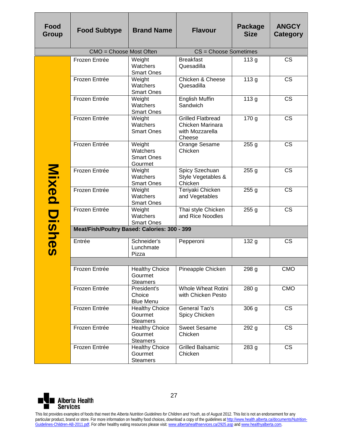| Food<br>Group                                                                                                          | <b>Food Subtype</b>                                                                                                                                                                                                                                                                                                             | <b>Brand Name</b>                                   | <b>Flavour</b>                                                            | Package<br><b>Size</b> | <b>ANGCY</b><br>Category |  |  |
|------------------------------------------------------------------------------------------------------------------------|---------------------------------------------------------------------------------------------------------------------------------------------------------------------------------------------------------------------------------------------------------------------------------------------------------------------------------|-----------------------------------------------------|---------------------------------------------------------------------------|------------------------|--------------------------|--|--|
|                                                                                                                        | CMO = Choose Most Often                                                                                                                                                                                                                                                                                                         |                                                     | CS = Choose Sometimes                                                     |                        |                          |  |  |
|                                                                                                                        | Frozen Entrée                                                                                                                                                                                                                                                                                                                   | Weight<br>Watchers<br><b>Smart Ones</b>             | <b>Breakfast</b><br>Quesadilla                                            | 113 <sub>g</sub>       | <b>CS</b>                |  |  |
| Mixed<br>$\overline{\mathbf{C}}$<br>$\overline{\mathbf{w}}$<br>$\overline{\mathbf{z}}$<br>$\overline{\mathbf{D}}$<br>m | Frozen Entrée                                                                                                                                                                                                                                                                                                                   | Weight<br>Watchers<br><b>Smart Ones</b>             | Chicken & Cheese<br>Quesadilla                                            | 113 <sub>g</sub>       | <b>CS</b>                |  |  |
|                                                                                                                        | Frozen Entrée                                                                                                                                                                                                                                                                                                                   | Weight<br>Watchers<br><b>Smart Ones</b>             | <b>English Muffin</b><br>Sandwich                                         | 113 <sub>g</sub>       | <b>CS</b>                |  |  |
|                                                                                                                        | Frozen Entrée                                                                                                                                                                                                                                                                                                                   | Weight<br>Watchers<br><b>Smart Ones</b>             | <b>Grilled Flatbread</b><br>Chicken Marinara<br>with Mozzarella<br>Cheese | 170 g                  | <b>CS</b>                |  |  |
|                                                                                                                        | Frozen Entrée                                                                                                                                                                                                                                                                                                                   | Weight<br>Watchers<br><b>Smart Ones</b><br>Gourmet  | Orange Sesame<br>Chicken                                                  | 255 <sub>g</sub>       | <b>CS</b>                |  |  |
|                                                                                                                        | Frozen Entrée                                                                                                                                                                                                                                                                                                                   | Weight<br>Watchers<br><b>Smart Ones</b>             | Spicy Szechuan<br>Style Vegetables &<br>Chicken                           | 255 <sub>g</sub>       | <b>CS</b>                |  |  |
|                                                                                                                        | Frozen Entrée                                                                                                                                                                                                                                                                                                                   | Weight<br>Watchers<br><b>Smart Ones</b>             | Teriyaki Chicken<br>and Vegetables                                        | 255 <sub>g</sub>       | <b>CS</b>                |  |  |
|                                                                                                                        | Frozen Entrée                                                                                                                                                                                                                                                                                                                   | Weight<br>Watchers<br><b>Smart Ones</b>             | Thai style Chicken<br>and Rice Noodles                                    | 255 <sub>g</sub>       | <b>CS</b>                |  |  |
|                                                                                                                        | Meat/Fish/Poultry Based: Calories: 300 - 399                                                                                                                                                                                                                                                                                    |                                                     |                                                                           |                        |                          |  |  |
|                                                                                                                        | Entrée                                                                                                                                                                                                                                                                                                                          | Schneider's<br>Lunchmate<br>Pizza                   | Pepperoni                                                                 | 132 g                  | <b>CS</b>                |  |  |
|                                                                                                                        |                                                                                                                                                                                                                                                                                                                                 |                                                     |                                                                           |                        |                          |  |  |
|                                                                                                                        | Frozen Entrée                                                                                                                                                                                                                                                                                                                   | <b>Healthy Choice</b><br>Gourmet<br><b>Steamers</b> | Pineapple Chicken                                                         | 298 g                  | <b>CMO</b>               |  |  |
|                                                                                                                        | Frozen Entrée                                                                                                                                                                                                                                                                                                                   | President's<br>Choice<br><b>Blue Menu</b>           | <b>Whole Wheat Rotini</b><br>with Chicken Pesto                           | 280 g                  | <b>CMO</b>               |  |  |
|                                                                                                                        | Frozen Entrée                                                                                                                                                                                                                                                                                                                   | <b>Healthy Choice</b><br>Gourmet<br><b>Steamers</b> | General Tao's<br>Spicy Chicken                                            | 306 g                  | <b>CS</b>                |  |  |
|                                                                                                                        | Frozen Entrée                                                                                                                                                                                                                                                                                                                   | <b>Healthy Choice</b><br>Gourmet<br><b>Steamers</b> | <b>Sweet Sesame</b><br>Chicken                                            | 292 g                  | $\overline{\text{CS}}$   |  |  |
|                                                                                                                        | Frozen Entrée                                                                                                                                                                                                                                                                                                                   | <b>Healthy Choice</b><br>Gourmet<br><b>Steamers</b> | <b>Grilled Balsamic</b><br>Chicken                                        | 283 g                  | <b>CS</b>                |  |  |
| 27                                                                                                                     |                                                                                                                                                                                                                                                                                                                                 |                                                     |                                                                           |                        |                          |  |  |
| <b>Services</b>                                                                                                        | <b>Alberta Health</b><br>This list provides examples of foods that meet the Alberta Nutrition Guidelines for Children and Youth, as of August 2012. This list is not an endorsement for any                                                                                                                                     |                                                     |                                                                           |                        |                          |  |  |
|                                                                                                                        | particular product, brand or store. For more information on healthy food choices, download a copy of the guidelines at http://www.health.alberta.ca/documents/Nutrition-<br>Guidelines-Children-AB-2011.pdf. For other healthy eating resources please visit: www.albertahealthservices.ca/2925.asp and www.healthyalberta.com. |                                                     |                                                                           |                        |                          |  |  |

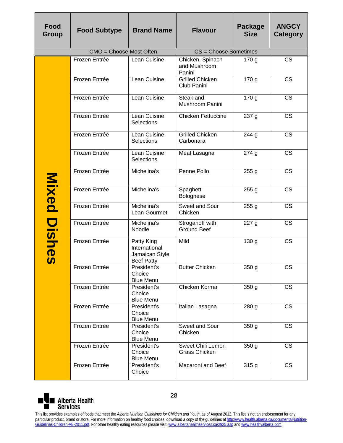| Food<br>Group   | <b>Food Subtype</b>                                                                                                                                                                                                                                                                                                             | <b>Brand Name</b>                                                  | <b>Flavour</b>                             | Package<br><b>Size</b> | <b>ANGCY</b><br><b>Category</b> |  |
|-----------------|---------------------------------------------------------------------------------------------------------------------------------------------------------------------------------------------------------------------------------------------------------------------------------------------------------------------------------|--------------------------------------------------------------------|--------------------------------------------|------------------------|---------------------------------|--|
|                 | CMO = Choose Most Often                                                                                                                                                                                                                                                                                                         |                                                                    | CS = Choose Sometimes                      |                        |                                 |  |
|                 | Frozen Entrée                                                                                                                                                                                                                                                                                                                   | Lean Cuisine                                                       | Chicken, Spinach<br>and Mushroom<br>Panini | 170 <sub>g</sub>       | <b>CS</b>                       |  |
|                 | Frozen Entrée                                                                                                                                                                                                                                                                                                                   | Lean Cuisine                                                       | <b>Grilled Chicken</b><br>Club Panini      | 170 <sub>g</sub>       | $\overline{\text{CS}}$          |  |
|                 | Frozen Entrée                                                                                                                                                                                                                                                                                                                   | Lean Cuisine                                                       | Steak and<br>Mushroom Panini               | 170 <sub>g</sub>       | <b>CS</b>                       |  |
|                 | Frozen Entrée                                                                                                                                                                                                                                                                                                                   | Lean Cuisine<br>Selections                                         | <b>Chicken Fettuccine</b>                  | 237 g                  | $\overline{\text{CS}}$          |  |
| Mixed<br>Dishes | Frozen Entrée                                                                                                                                                                                                                                                                                                                   | Lean Cuisine<br>Selections                                         | <b>Grilled Chicken</b><br>Carbonara        | 244g                   | <b>CS</b>                       |  |
|                 | Frozen Entrée                                                                                                                                                                                                                                                                                                                   | Lean Cuisine<br>Selections                                         | Meat Lasagna                               | 274g                   | <b>CS</b>                       |  |
|                 | Frozen Entrée                                                                                                                                                                                                                                                                                                                   | Michelina's                                                        | Penne Pollo                                | 255g                   | <b>CS</b>                       |  |
|                 | Frozen Entrée                                                                                                                                                                                                                                                                                                                   | Michelina's                                                        | Spaghetti<br>Bolognese                     | 255g                   | <b>CS</b>                       |  |
|                 | Frozen Entrée                                                                                                                                                                                                                                                                                                                   | Michelina's<br>Lean Gourmet                                        | Sweet and Sour<br>Chicken                  | 255g                   | <b>CS</b>                       |  |
|                 | Frozen Entrée                                                                                                                                                                                                                                                                                                                   | Michelina's<br>Noodle                                              | Stroganoff with<br><b>Ground Beef</b>      | 227 g                  | <b>CS</b>                       |  |
|                 | Frozen Entrée                                                                                                                                                                                                                                                                                                                   | Patty King<br>International<br>Jamaican Style<br><b>Beef Patty</b> | Mild                                       | 130 <sub>g</sub>       | <b>CS</b>                       |  |
|                 | Frozen Entrée                                                                                                                                                                                                                                                                                                                   | President's<br>Choice<br><b>Blue Menu</b>                          | <b>Butter Chicken</b>                      | 350 g                  | СS                              |  |
|                 | Frozen Entrée                                                                                                                                                                                                                                                                                                                   | President's<br>Choice<br><b>Blue Menu</b>                          | Chicken Korma                              | 350 g                  | $\overline{\text{CS}}$          |  |
|                 | Frozen Entrée                                                                                                                                                                                                                                                                                                                   | President's<br>Choice<br><b>Blue Menu</b>                          | Italian Lasagna                            | 280 g                  | <b>CS</b>                       |  |
|                 | Frozen Entrée                                                                                                                                                                                                                                                                                                                   | President's<br>Choice<br><b>Blue Menu</b>                          | Sweet and Sour<br>Chicken                  | 350 <sub>g</sub>       | <b>CS</b>                       |  |
|                 | Frozen Entrée                                                                                                                                                                                                                                                                                                                   | President's<br>Choice<br><b>Blue Menu</b>                          | Sweet Chili Lemon<br>Grass Chicken         | 350 g                  | <b>CS</b>                       |  |
|                 | Frozen Entrée                                                                                                                                                                                                                                                                                                                   | President's<br>Choice                                              | Macaroni and Beef                          | 315g                   | <b>CS</b>                       |  |
|                 | 28<br><b>Alberta Health</b><br>Services<br>This list provides examples of foods that meet the Alberta Nutrition Guidelines for Children and Youth, as of August 2012. This list is not an endorsement for any                                                                                                                   |                                                                    |                                            |                        |                                 |  |
|                 | particular product, brand or store. For more information on healthy food choices, download a copy of the guidelines at http://www.health.alberta.ca/documents/Nutrition-<br>Guidelines-Children-AB-2011.pdf. For other healthy eating resources please visit: www.albertahealthservices.ca/2925.asp and www.healthyalberta.com. |                                                                    |                                            |                        |                                 |  |

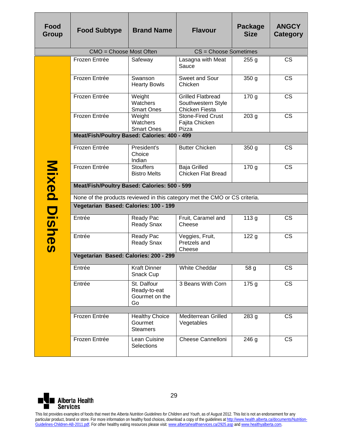| <b>Food</b><br>Group | <b>Food Subtype</b>                                                        | <b>Brand Name</b>                                   | <b>Flavour</b>                                                          | <b>Package</b><br><b>Size</b> | <b>ANGCY</b><br>Category |  |  |
|----------------------|----------------------------------------------------------------------------|-----------------------------------------------------|-------------------------------------------------------------------------|-------------------------------|--------------------------|--|--|
|                      | CMO = Choose Most Often                                                    | CS = Choose Sometimes                               |                                                                         |                               |                          |  |  |
|                      | Frozen Entrée                                                              | Safeway                                             | Lasagna with Meat<br>Sauce                                              | 255 <sub>g</sub>              | $\overline{\text{CS}}$   |  |  |
|                      | Frozen Entrée                                                              | Swanson<br><b>Hearty Bowls</b>                      | Sweet and Sour<br>Chicken                                               | 350 <sub>g</sub>              | <b>CS</b>                |  |  |
|                      | Frozen Entrée                                                              | Weight<br>Watchers<br><b>Smart Ones</b>             | <b>Grilled Flatbread</b><br>Southwestern Style<br><b>Chicken Fiesta</b> | 170 <sub>g</sub>              | <b>CS</b>                |  |  |
|                      | Frozen Entrée                                                              | Weight<br>Watchers<br><b>Smart Ones</b>             | <b>Stone-Fired Crust</b><br>Fajita Chicken<br>Pizza                     | 203 <sub>g</sub>              | <b>CS</b>                |  |  |
|                      | Meat/Fish/Poultry Based: Calories: 400 - 499                               |                                                     |                                                                         |                               |                          |  |  |
| Mixed                | Frozen Entrée                                                              | President's<br>Choice<br>Indian                     | <b>Butter Chicken</b>                                                   | 350 <sub>g</sub>              | <b>CS</b>                |  |  |
|                      | Frozen Entrée                                                              | <b>Stouffers</b><br><b>Bistro Melts</b>             | <b>Baja Grilled</b><br><b>Chicken Flat Bread</b>                        | 170 g                         | <b>CS</b>                |  |  |
|                      | Meat/Fish/Poultry Based: Calories: 500 - 599                               |                                                     |                                                                         |                               |                          |  |  |
|                      | None of the products reviewed in this category met the CMO or CS criteria. |                                                     |                                                                         |                               |                          |  |  |
|                      | Vegetarian Based: Calories: 100 - 199                                      |                                                     |                                                                         |                               |                          |  |  |
|                      | Entrée                                                                     | Ready Pac<br><b>Ready Snax</b>                      | Fruit, Caramel and<br>Cheese                                            | 113 <sub>g</sub>              | <b>CS</b>                |  |  |
| Dishes               | Entrée                                                                     | Ready Pac<br><b>Ready Snax</b>                      | Veggies, Fruit,<br>Pretzels and<br>Cheese                               | 122g                          | <b>CS</b>                |  |  |
|                      | Vegetarian Based: Calories: 200 - 299                                      |                                                     |                                                                         |                               |                          |  |  |
|                      | Entrée                                                                     | <b>Kraft Dinner</b><br>Snack Cup                    | White Cheddar                                                           | 58 g                          | <b>CS</b>                |  |  |
|                      | Entrée                                                                     | St. Dalfour<br>Ready-to-eat<br>Gourmet on the<br>Go | 3 Beans With Corn                                                       | 175g                          | $\overline{\text{cs}}$   |  |  |
|                      |                                                                            |                                                     |                                                                         |                               |                          |  |  |
|                      | Frozen Entrée                                                              | <b>Healthy Choice</b><br>Gourmet<br><b>Steamers</b> | Mediterrean Grilled<br>Vegetables                                       | 283 g                         | <b>CS</b>                |  |  |
|                      | Frozen Entrée                                                              | Lean Cuisine<br>Selections                          | Cheese Cannelloni                                                       | 246g                          | <b>CS</b>                |  |  |

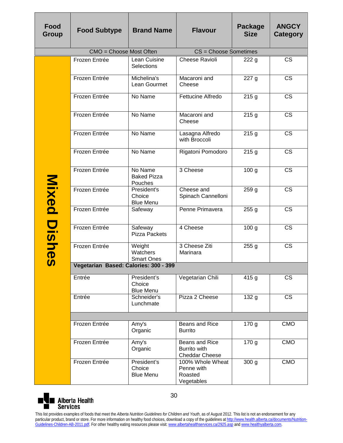| Food<br>Group  | <b>Food Subtype</b>                   | <b>Brand Name</b>                         | <b>Flavour</b>                                          | <b>Package</b><br><b>Size</b> | <b>ANGCY</b><br><b>Category</b> |  |  |
|----------------|---------------------------------------|-------------------------------------------|---------------------------------------------------------|-------------------------------|---------------------------------|--|--|
|                | CMO = Choose Most Often               |                                           | CS = Choose Sometimes                                   |                               |                                 |  |  |
|                | Frozen Entrée                         | Lean Cuisine<br>Selections                | <b>Cheese Ravioli</b>                                   | 222g                          | <b>CS</b>                       |  |  |
|                | Frozen Entrée                         | Michelina's<br>Lean Gourmet               | Macaroni and<br>Cheese                                  | 227 g                         | <b>CS</b>                       |  |  |
|                | Frozen Entrée                         | No Name                                   | Fettucine Alfredo                                       | 215g                          | $\overline{\text{CS}}$          |  |  |
| Mixed<br>Dishe | Frozen Entrée                         | No Name                                   | Macaroni and<br>Cheese                                  | 215g                          | $\overline{\text{CS}}$          |  |  |
|                | Frozen Entrée                         | No Name                                   | Lasagna Alfredo<br>with Broccoli                        | 215g                          | $\overline{\text{CS}}$          |  |  |
|                | Frozen Entrée                         | No Name                                   | Rigatoni Pomodoro                                       | 215g                          | $\overline{\text{CS}}$          |  |  |
|                | Frozen Entrée                         | No Name<br><b>Baked Pizza</b><br>Pouches  | 3 Cheese                                                | 100 <sub>g</sub>              | <b>CS</b>                       |  |  |
|                | Frozen Entrée                         | President's<br>Choice<br><b>Blue Menu</b> | Cheese and<br>Spinach Cannelloni                        | 259 g                         | <b>CS</b>                       |  |  |
|                | Frozen Entrée                         | Safeway                                   | Penne Primavera                                         | 255g                          | $\overline{\text{CS}}$          |  |  |
|                | Frozen Entrée                         | Safeway<br>Pizza Packets                  | 4 Cheese                                                | 100 <sub>g</sub>              | <b>CS</b>                       |  |  |
|                | Frozen Entrée                         | Weight<br>Watchers<br><b>Smart Ones</b>   | 3 Cheese Ziti<br>Marinara                               | 255g                          | <b>CS</b>                       |  |  |
| <u>ທ</u>       | Vegetarian Based: Calories: 300 - 399 |                                           |                                                         |                               |                                 |  |  |
|                | Entrée                                | President's<br>Choice<br><b>Blue Menu</b> | Vegetarian Chili                                        | 415 g                         | $\overline{\text{CS}}$          |  |  |
|                | Entrée                                | Schneider's<br>Lunchmate                  | Pizza 2 Cheese                                          | 132 g                         | <b>CS</b>                       |  |  |
|                |                                       |                                           |                                                         |                               |                                 |  |  |
|                | Frozen Entrée                         | Amy's<br>Organic                          | Beans and Rice<br><b>Burrito</b>                        | 170 g                         | <b>CMO</b>                      |  |  |
|                | Frozen Entrée                         | Amy's<br>Organic                          | Beans and Rice<br>Burrito with<br><b>Cheddar Cheese</b> | 170 g                         | <b>CMO</b>                      |  |  |
|                | Frozen Entrée                         | President's<br>Choice<br><b>Blue Menu</b> | 100% Whole Wheat<br>Penne with<br>Roasted<br>Vegetables | 300 g                         | <b>CMO</b>                      |  |  |